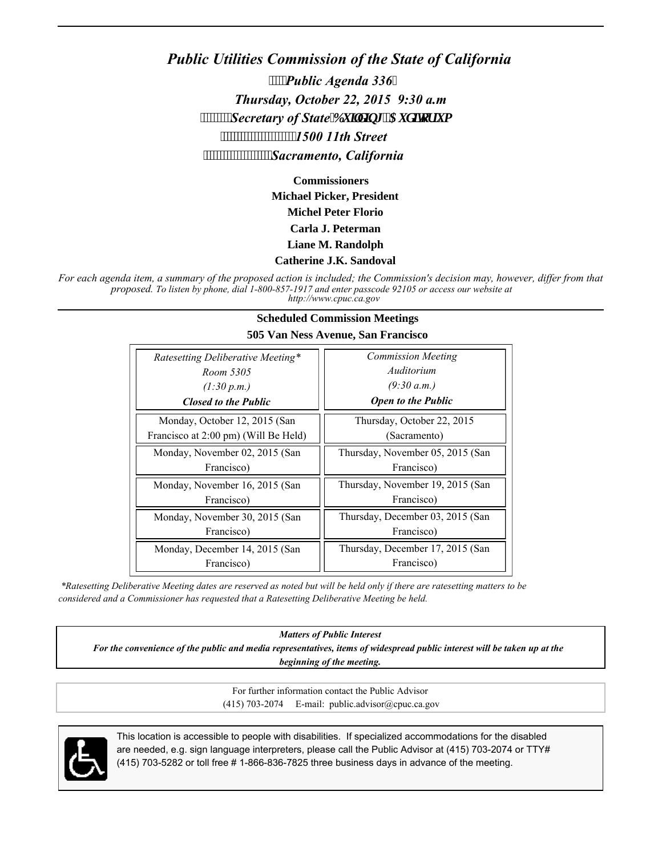## *Public Utilities Commission of the State of California Public Agenda 336 Thursday, October 22, 2015 9:30 a.m Secretary of State<sup>'</sup>Dwkf kpi .'Cwf kqt kwo' 1500 11th Street Sacramento, California*

**Commissioners Michael Picker, President Michel Peter Florio Carla J. Peterman Liane M. Randolph**

#### **Catherine J.K. Sandoval**

*For each agenda item, a summary of the proposed action is included; the Commission's decision may, however, differ from that proposed. To listen by phone, dial 1-800-857-1917 and enter passcode 92105 or access our website at http://www.cpuc.ca.gov*

#### **Scheduled Commission Meetings 505 Van Ness Avenue, San Francisco**

| Ratesetting Deliberative Meeting*    | <b>Commission Meeting</b>        |
|--------------------------------------|----------------------------------|
| Room 5305                            | Auditorium                       |
| (1:30 p.m.)                          | (9:30 a.m.)                      |
| <b>Closed to the Public</b>          | <b>Open to the Public</b>        |
| Monday, October 12, 2015 (San        | Thursday, October 22, 2015       |
| Francisco at 2:00 pm) (Will Be Held) | (Sacramento)                     |
| Monday, November 02, 2015 (San       | Thursday, November 05, 2015 (San |
| Francisco)                           | Francisco)                       |
| Monday, November 16, 2015 (San       | Thursday, November 19, 2015 (San |
| Francisco)                           | Francisco)                       |
| Monday, November 30, 2015 (San       | Thursday, December 03, 2015 (San |
| Francisco)                           | Francisco)                       |
| Monday, December 14, 2015 (San       | Thursday, December 17, 2015 (San |
| Francisco)                           | Francisco)                       |

 *\*Ratesetting Deliberative Meeting dates are reserved as noted but will be held only if there are ratesetting matters to be considered and a Commissioner has requested that a Ratesetting Deliberative Meeting be held.*

*Matters of Public Interest*

*For the convenience of the public and media representatives, items of widespread public interest will be taken up at the beginning of the meeting.*

> For further information contact the Public Advisor (415) 703-2074 E-mail: public.advisor@cpuc.ca.gov



This location is accessible to people with disabilities. If specialized accommodations for the disabled are needed, e.g. sign language interpreters, please call the Public Advisor at (415) 703-2074 or TTY# (415) 703-5282 or toll free # 1-866-836-7825 three business days in advance of the meeting.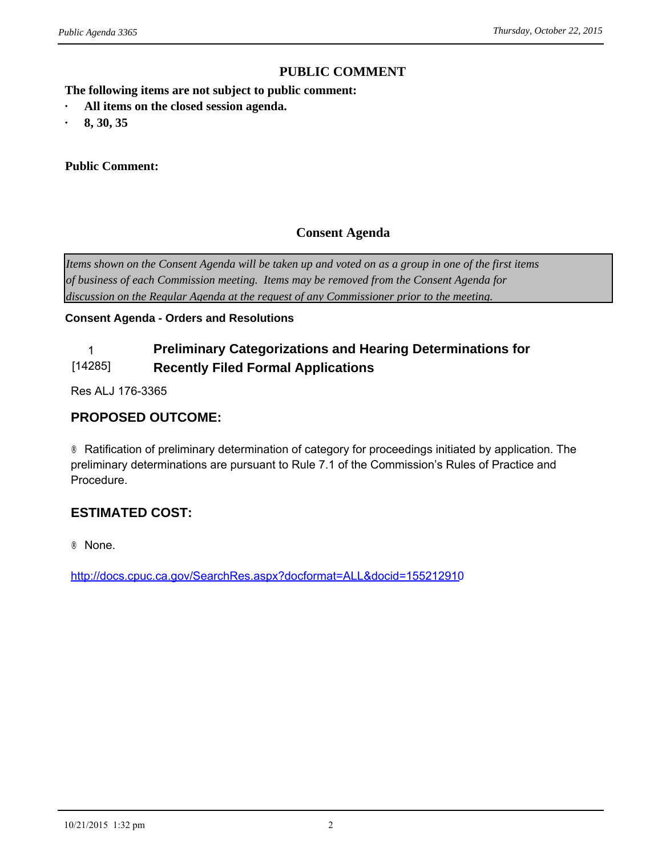#### **PUBLIC COMMENT**

**The following items are not subject to public comment: PUBLIC CONTINUIST Agenda 3365**<br> **PUBLIC CONTINUIST All items on the closed session agenda.**<br> **•** 8, 30, 35 *wblic Agenda 3365*<br> **The following items are not subjec**<br> **•** All items on the closed session<br> **•** 8, 30, 35<br> **Public Comment:** 

- 
- 

#### **Public Comment:**

#### **Consent Agenda**

*Items shown on the Consent Agenda will be taken up and voted on as a group in one of the first items of business of each Commission meeting. Items may be removed from the Consent Agenda for discussion on the Regular Agenda at the request of any Commissioner prior to the meeting.*

#### **Consent Agenda - Orders and Resolutions**

#### 1 **Preliminary Categorizations and Hearing Determinations for**  [14285] **Recently Filed Formal Applications**

Res ALJ 176-3365

#### **PROPOSED OUTCOME:**

® Ratification of preliminary determination of category for proceedings initiated by application. The preliminary determinations are pursuant to Rule 7.1 of the Commission's Rules of Practice and Procedure.

#### **ESTIMATED COST:**

® None.

<http://docs.cpuc.ca.gov/SearchRes.aspx?docformat=ALL&docid=155212910>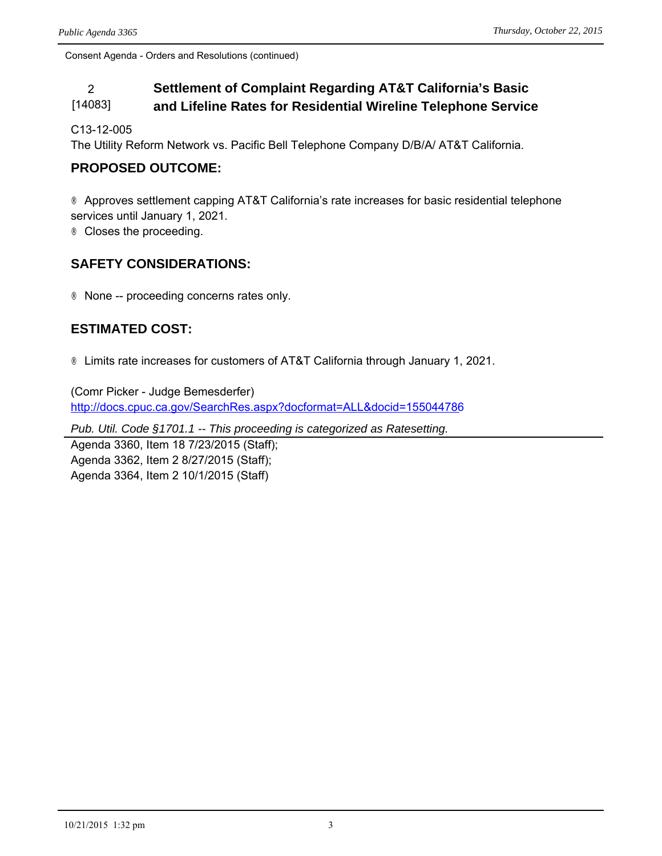#### 2 **Settlement of Complaint Regarding AT&T California's Basic**  [14083] **and Lifeline Rates for Residential Wireline Telephone Service**

C13-12-005

The Utility Reform Network vs. Pacific Bell Telephone Company D/B/A/ AT&T California.

#### **PROPOSED OUTCOME:**

® Approves settlement capping AT&T California's rate increases for basic residential telephone services until January 1, 2021.

® Closes the proceeding.

#### **SAFETY CONSIDERATIONS:**

® None -- proceeding concerns rates only.

#### **ESTIMATED COST:**

® Limits rate increases for customers of AT&T California through January 1, 2021.

(Comr Picker - Judge Bemesderfer) <http://docs.cpuc.ca.gov/SearchRes.aspx?docformat=ALL&docid=155044786>

*Pub. Util. Code §1701.1 -- This proceeding is categorized as Ratesetting.*

Agenda 3360, Item 18 7/23/2015 (Staff); Agenda 3362, Item 2 8/27/2015 (Staff); Agenda 3364, Item 2 10/1/2015 (Staff)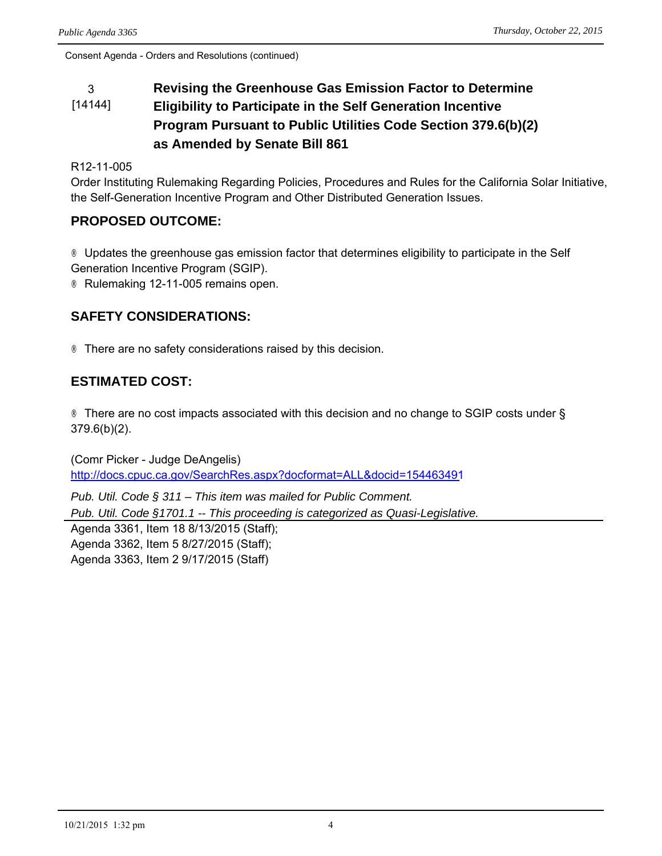#### 3 **Revising the Greenhouse Gas Emission Factor to Determine**  [14144] **Eligibility to Participate in the Self Generation Incentive Program Pursuant to Public Utilities Code Section 379.6(b)(2) as Amended by Senate Bill 861**

#### R12-11-005

Order Instituting Rulemaking Regarding Policies, Procedures and Rules for the California Solar Initiative, the Self-Generation Incentive Program and Other Distributed Generation Issues.

#### **PROPOSED OUTCOME:**

® Updates the greenhouse gas emission factor that determines eligibility to participate in the Self Generation Incentive Program (SGIP).

® Rulemaking 12-11-005 remains open.

#### **SAFETY CONSIDERATIONS:**

® There are no safety considerations raised by this decision.

#### **ESTIMATED COST:**

® There are no cost impacts associated with this decision and no change to SGIP costs under § 379.6(b)(2).

(Comr Picker - Judge DeAngelis) <http://docs.cpuc.ca.gov/SearchRes.aspx?docformat=ALL&docid=154463491>

*Pub. Util. Code § 311 – This item was mailed for Public Comment. Pub. Util. Code §1701.1 -- This proceeding is categorized as Quasi-Legislative.* Agenda 3361, Item 18 8/13/2015 (Staff);

Agenda 3362, Item 5 8/27/2015 (Staff); Agenda 3363, Item 2 9/17/2015 (Staff)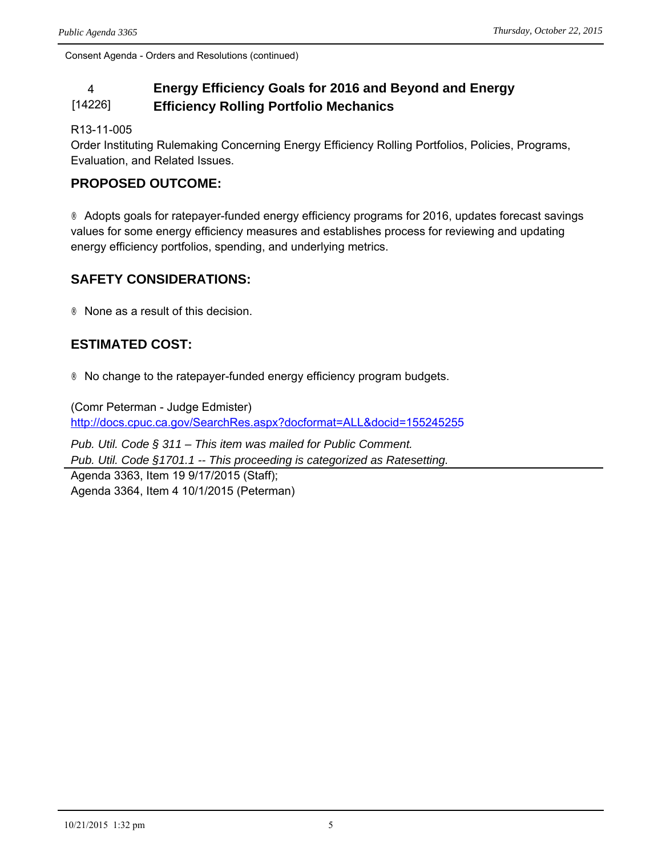#### 4 **Energy Efficiency Goals for 2016 and Beyond and Energy**  [14226] **Efficiency Rolling Portfolio Mechanics**

R13-11-005

Order Instituting Rulemaking Concerning Energy Efficiency Rolling Portfolios, Policies, Programs, Evaluation, and Related Issues.

#### **PROPOSED OUTCOME:**

® Adopts goals for ratepayer-funded energy efficiency programs for 2016, updates forecast savings values for some energy efficiency measures and establishes process for reviewing and updating energy efficiency portfolios, spending, and underlying metrics.

#### **SAFETY CONSIDERATIONS:**

® None as a result of this decision.

#### **ESTIMATED COST:**

® No change to the ratepayer-funded energy efficiency program budgets.

(Comr Peterman - Judge Edmister) <http://docs.cpuc.ca.gov/SearchRes.aspx?docformat=ALL&docid=155245255>

*Pub. Util. Code § 311 – This item was mailed for Public Comment. Pub. Util. Code §1701.1 -- This proceeding is categorized as Ratesetting.* Agenda 3363, Item 19 9/17/2015 (Staff); Agenda 3364, Item 4 10/1/2015 (Peterman)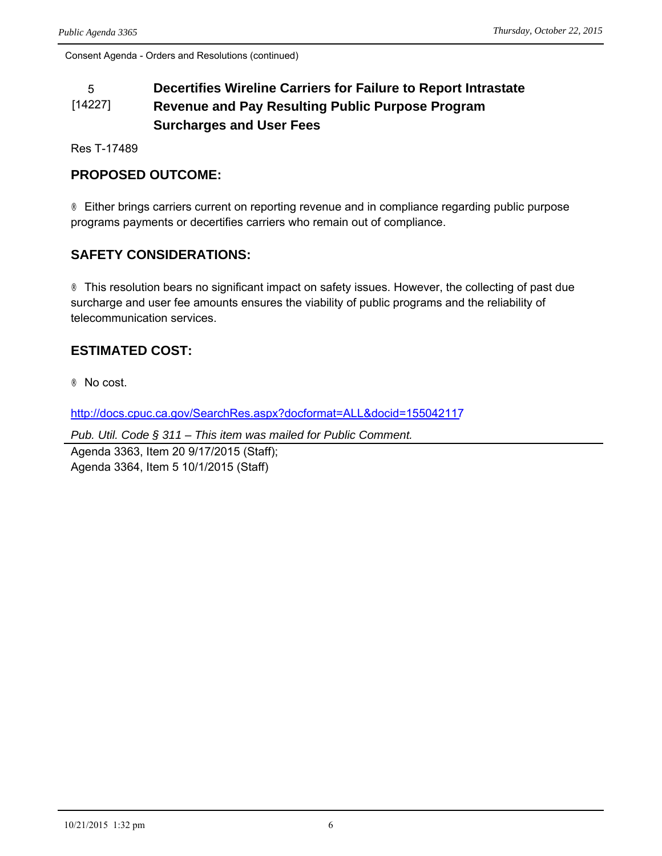#### 5 **Decertifies Wireline Carriers for Failure to Report Intrastate**  [14227] **Revenue and Pay Resulting Public Purpose Program Surcharges and User Fees**

Res T-17489

### **PROPOSED OUTCOME:**

® Either brings carriers current on reporting revenue and in compliance regarding public purpose programs payments or decertifies carriers who remain out of compliance.

### **SAFETY CONSIDERATIONS:**

® This resolution bears no significant impact on safety issues. However, the collecting of past due surcharge and user fee amounts ensures the viability of public programs and the reliability of telecommunication services.

## **ESTIMATED COST:**

® No cost.

<http://docs.cpuc.ca.gov/SearchRes.aspx?docformat=ALL&docid=155042117>

*Pub. Util. Code § 311 – This item was mailed for Public Comment.*

Agenda 3363, Item 20 9/17/2015 (Staff); Agenda 3364, Item 5 10/1/2015 (Staff)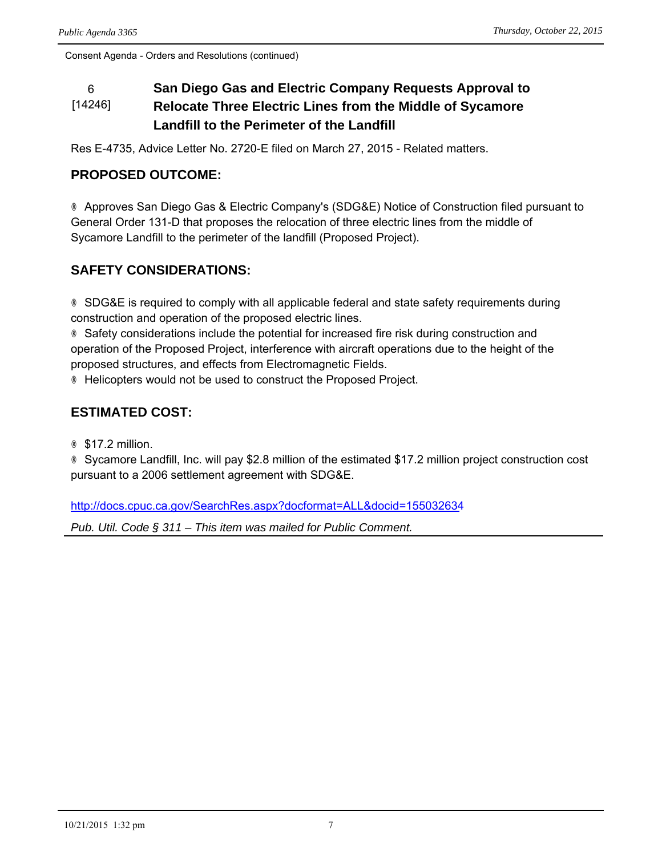#### 6 **San Diego Gas and Electric Company Requests Approval to**  [14246] **Relocate Three Electric Lines from the Middle of Sycamore Landfill to the Perimeter of the Landfill**

Res E-4735, Advice Letter No. 2720-E filed on March 27, 2015 - Related matters.

## **PROPOSED OUTCOME:**

® Approves San Diego Gas & Electric Company's (SDG&E) Notice of Construction filed pursuant to General Order 131-D that proposes the relocation of three electric lines from the middle of Sycamore Landfill to the perimeter of the landfill (Proposed Project).

## **SAFETY CONSIDERATIONS:**

® SDG&E is required to comply with all applicable federal and state safety requirements during construction and operation of the proposed electric lines.

® Safety considerations include the potential for increased fire risk during construction and operation of the Proposed Project, interference with aircraft operations due to the height of the proposed structures, and effects from Electromagnetic Fields.

® Helicopters would not be used to construct the Proposed Project.

## **ESTIMATED COST:**

® \$17.2 million.

® Sycamore Landfill, Inc. will pay \$2.8 million of the estimated \$17.2 million project construction cost pursuant to a 2006 settlement agreement with SDG&E.

<http://docs.cpuc.ca.gov/SearchRes.aspx?docformat=ALL&docid=155032634>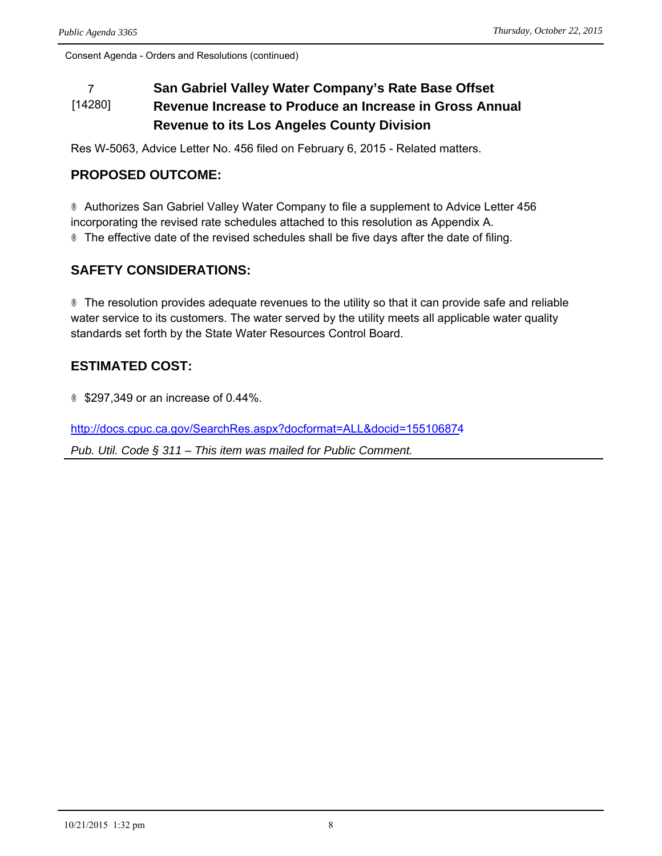#### 7 **San Gabriel Valley Water Company's Rate Base Offset**  [14280] **Revenue Increase to Produce an Increase in Gross Annual Revenue to its Los Angeles County Division**

Res W-5063, Advice Letter No. 456 filed on February 6, 2015 - Related matters.

#### **PROPOSED OUTCOME:**

® Authorizes San Gabriel Valley Water Company to file a supplement to Advice Letter 456 incorporating the revised rate schedules attached to this resolution as Appendix A. ® The effective date of the revised schedules shall be five days after the date of filing.

### **SAFETY CONSIDERATIONS:**

® The resolution provides adequate revenues to the utility so that it can provide safe and reliable water service to its customers. The water served by the utility meets all applicable water quality standards set forth by the State Water Resources Control Board.

### **ESTIMATED COST:**

® \$297,349 or an increase of 0.44%.

<http://docs.cpuc.ca.gov/SearchRes.aspx?docformat=ALL&docid=155106874>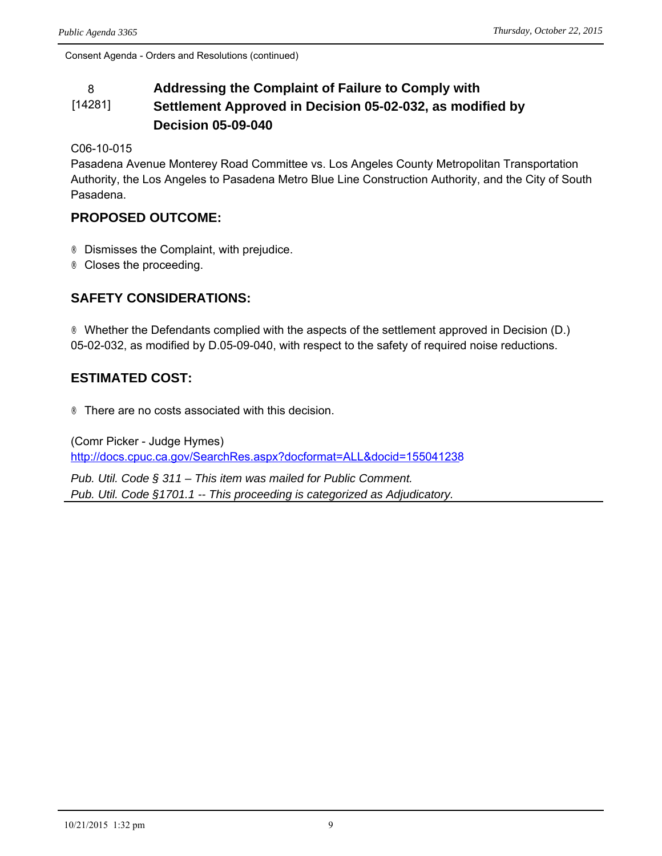#### 8 **Addressing the Complaint of Failure to Comply with**  [14281] **Settlement Approved in Decision 05-02-032, as modified by Decision 05-09-040**

C06-10-015

Pasadena Avenue Monterey Road Committee vs. Los Angeles County Metropolitan Transportation Authority, the Los Angeles to Pasadena Metro Blue Line Construction Authority, and the City of South Pasadena.

#### **PROPOSED OUTCOME:**

® Dismisses the Complaint, with prejudice.

® Closes the proceeding.

### **SAFETY CONSIDERATIONS:**

® Whether the Defendants complied with the aspects of the settlement approved in Decision (D.) 05-02-032, as modified by D.05-09-040, with respect to the safety of required noise reductions.

#### **ESTIMATED COST:**

® There are no costs associated with this decision.

(Comr Picker - Judge Hymes) <http://docs.cpuc.ca.gov/SearchRes.aspx?docformat=ALL&docid=155041238>

*Pub. Util. Code § 311 – This item was mailed for Public Comment. Pub. Util. Code §1701.1 -- This proceeding is categorized as Adjudicatory.*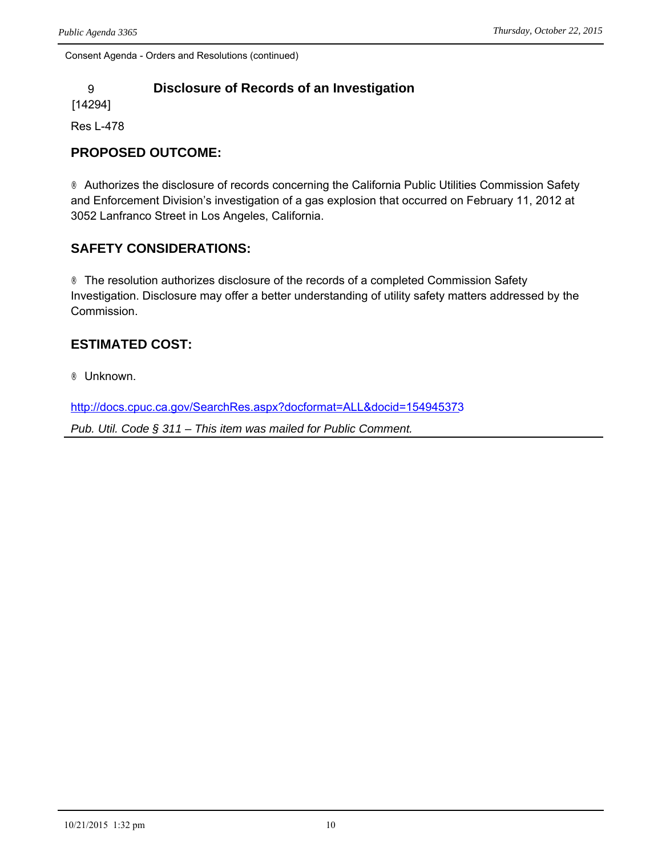## 9 **Disclosure of Records of an Investigation**

[14294]

Res L-478

## **PROPOSED OUTCOME:**

® Authorizes the disclosure of records concerning the California Public Utilities Commission Safety and Enforcement Division's investigation of a gas explosion that occurred on February 11, 2012 at 3052 Lanfranco Street in Los Angeles, California.

## **SAFETY CONSIDERATIONS:**

® The resolution authorizes disclosure of the records of a completed Commission Safety Investigation. Disclosure may offer a better understanding of utility safety matters addressed by the Commission.

## **ESTIMATED COST:**

® Unknown.

<http://docs.cpuc.ca.gov/SearchRes.aspx?docformat=ALL&docid=154945373>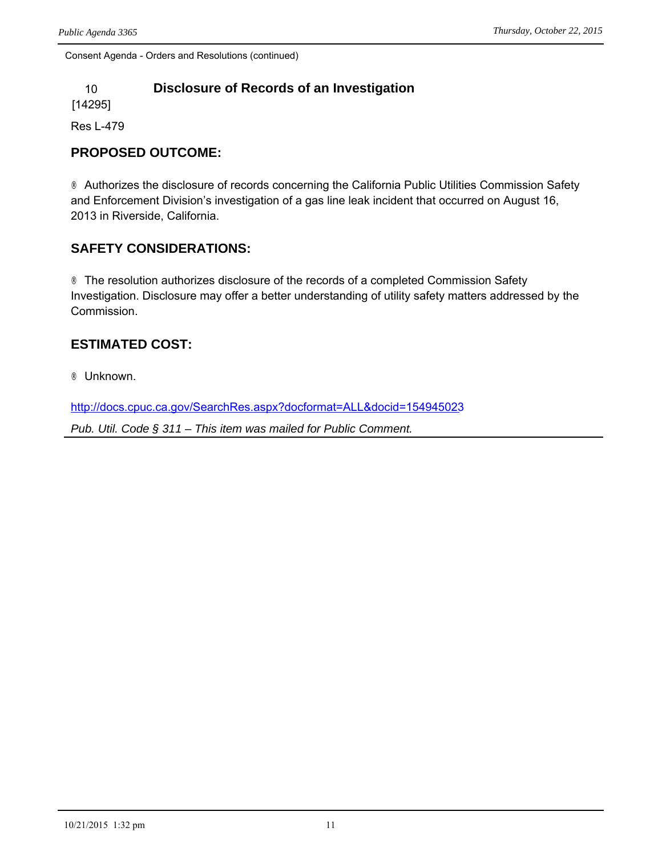### 10 **Disclosure of Records of an Investigation**

[14295]

Res L-479

#### **PROPOSED OUTCOME:**

® Authorizes the disclosure of records concerning the California Public Utilities Commission Safety and Enforcement Division's investigation of a gas line leak incident that occurred on August 16, 2013 in Riverside, California.

### **SAFETY CONSIDERATIONS:**

® The resolution authorizes disclosure of the records of a completed Commission Safety Investigation. Disclosure may offer a better understanding of utility safety matters addressed by the Commission.

### **ESTIMATED COST:**

® Unknown.

<http://docs.cpuc.ca.gov/SearchRes.aspx?docformat=ALL&docid=154945023>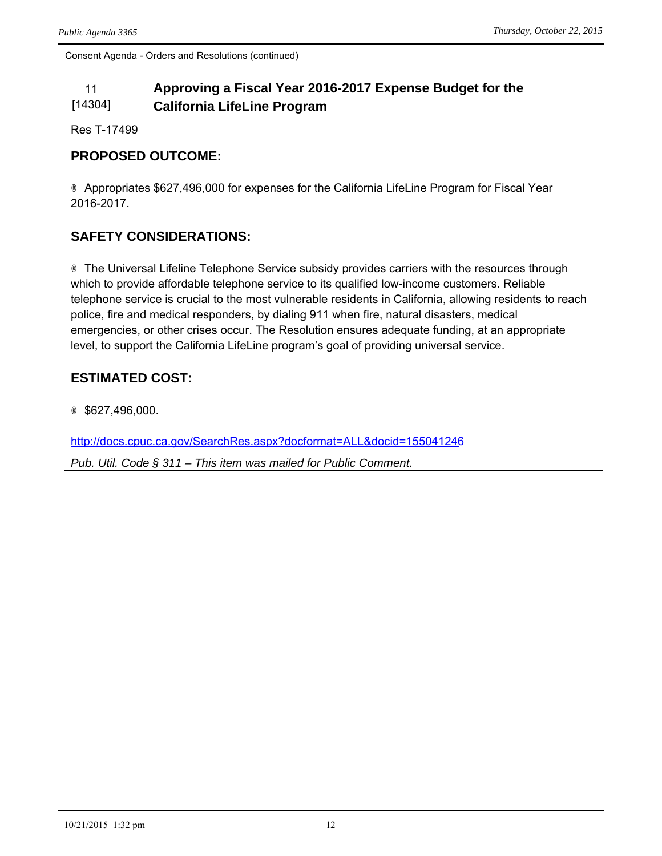#### 11 **Approving a Fiscal Year 2016-2017 Expense Budget for the**  [14304] **California LifeLine Program**

Res T-17499

#### **PROPOSED OUTCOME:**

® Appropriates \$627,496,000 for expenses for the California LifeLine Program for Fiscal Year 2016-2017.

### **SAFETY CONSIDERATIONS:**

® The Universal Lifeline Telephone Service subsidy provides carriers with the resources through which to provide affordable telephone service to its qualified low-income customers. Reliable telephone service is crucial to the most vulnerable residents in California, allowing residents to reach police, fire and medical responders, by dialing 911 when fire, natural disasters, medical emergencies, or other crises occur. The Resolution ensures adequate funding, at an appropriate level, to support the California LifeLine program's goal of providing universal service.

#### **ESTIMATED COST:**

® \$627,496,000.

<http://docs.cpuc.ca.gov/SearchRes.aspx?docformat=ALL&docid=155041246>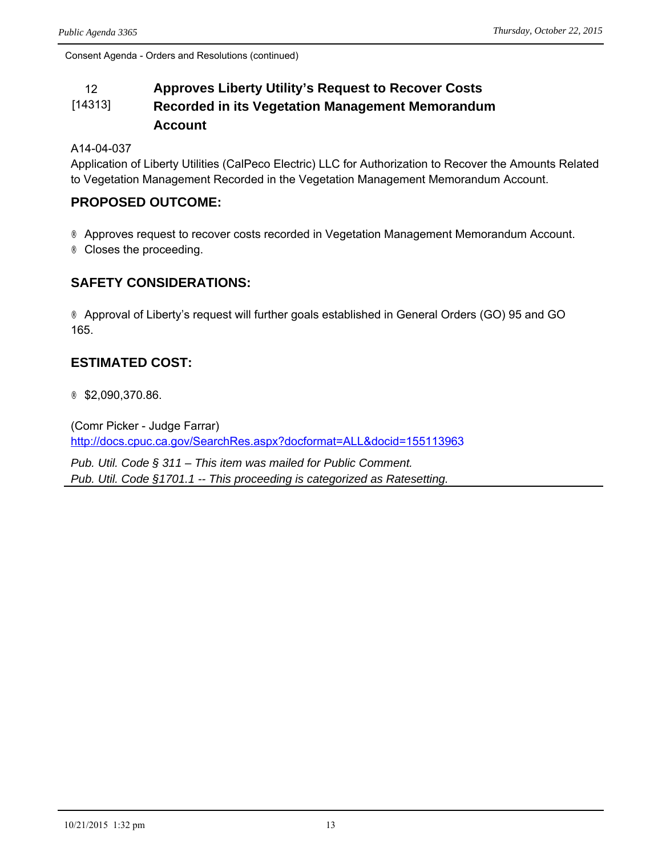#### 12 **Approves Liberty Utility's Request to Recover Costs**  [14313] **Recorded in its Vegetation Management Memorandum Account**

A14-04-037

Application of Liberty Utilities (CalPeco Electric) LLC for Authorization to Recover the Amounts Related to Vegetation Management Recorded in the Vegetation Management Memorandum Account.

#### **PROPOSED OUTCOME:**

® Approves request to recover costs recorded in Vegetation Management Memorandum Account. ® Closes the proceeding.

#### **SAFETY CONSIDERATIONS:**

® Approval of Liberty's request will further goals established in General Orders (GO) 95 and GO 165.

#### **ESTIMATED COST:**

® \$2,090,370.86.

(Comr Picker - Judge Farrar) <http://docs.cpuc.ca.gov/SearchRes.aspx?docformat=ALL&docid=155113963>

*Pub. Util. Code § 311 – This item was mailed for Public Comment. Pub. Util. Code §1701.1 -- This proceeding is categorized as Ratesetting.*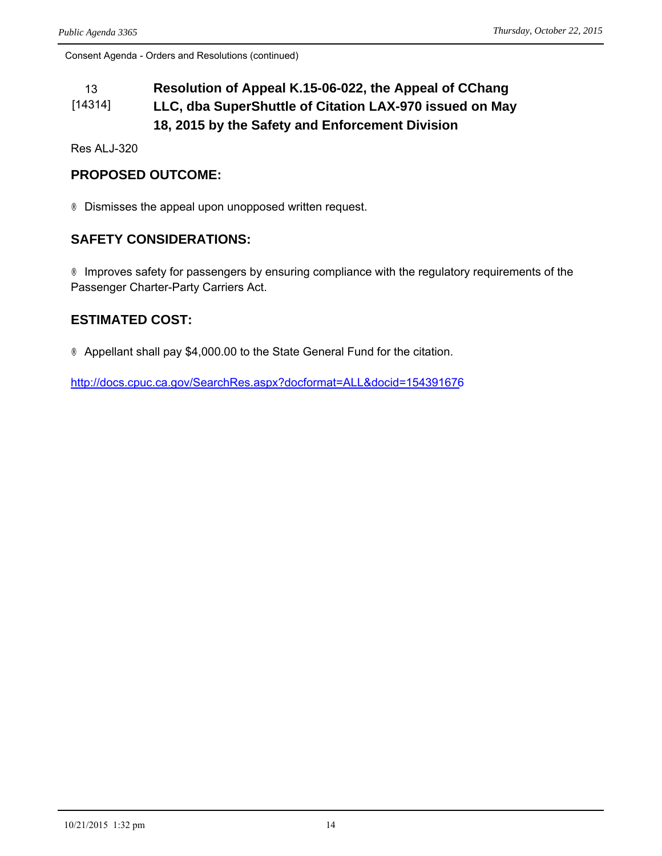#### 13 **Resolution of Appeal K.15-06-022, the Appeal of CChang**  [14314] **LLC, dba SuperShuttle of Citation LAX-970 issued on May 18, 2015 by the Safety and Enforcement Division**

Res ALJ-320

#### **PROPOSED OUTCOME:**

® Dismisses the appeal upon unopposed written request.

#### **SAFETY CONSIDERATIONS:**

® Improves safety for passengers by ensuring compliance with the regulatory requirements of the Passenger Charter-Party Carriers Act.

#### **ESTIMATED COST:**

® Appellant shall pay \$4,000.00 to the State General Fund for the citation.

<http://docs.cpuc.ca.gov/SearchRes.aspx?docformat=ALL&docid=154391676>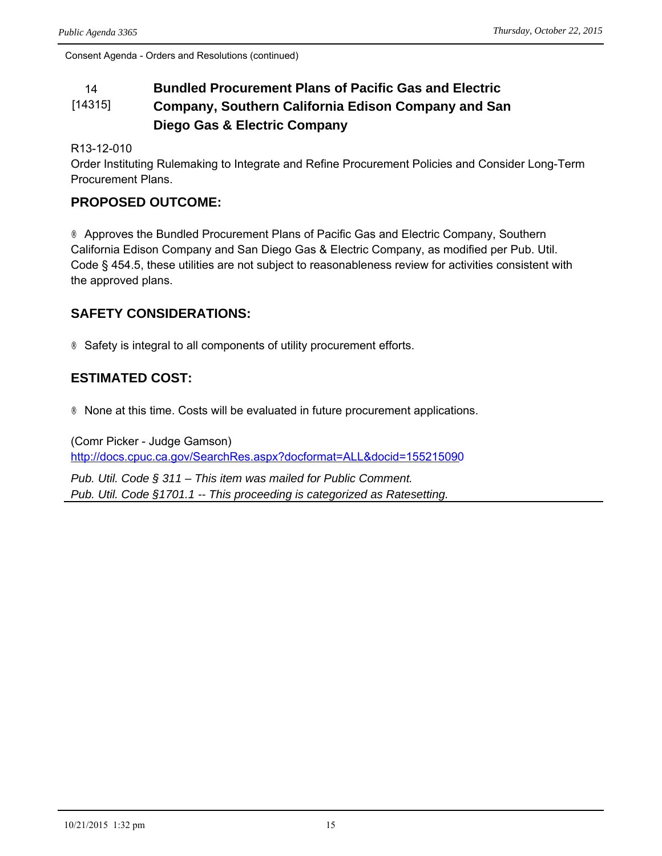#### 14 **Bundled Procurement Plans of Pacific Gas and Electric**  [14315] **Company, Southern California Edison Company and San Diego Gas & Electric Company**

R13-12-010

Order Instituting Rulemaking to Integrate and Refine Procurement Policies and Consider Long-Term Procurement Plans.

#### **PROPOSED OUTCOME:**

® Approves the Bundled Procurement Plans of Pacific Gas and Electric Company, Southern California Edison Company and San Diego Gas & Electric Company, as modified per Pub. Util. Code § 454.5, these utilities are not subject to reasonableness review for activities consistent with the approved plans.

#### **SAFETY CONSIDERATIONS:**

® Safety is integral to all components of utility procurement efforts.

#### **ESTIMATED COST:**

® None at this time. Costs will be evaluated in future procurement applications.

(Comr Picker - Judge Gamson) <http://docs.cpuc.ca.gov/SearchRes.aspx?docformat=ALL&docid=155215090>

*Pub. Util. Code § 311 – This item was mailed for Public Comment. Pub. Util. Code §1701.1 -- This proceeding is categorized as Ratesetting.*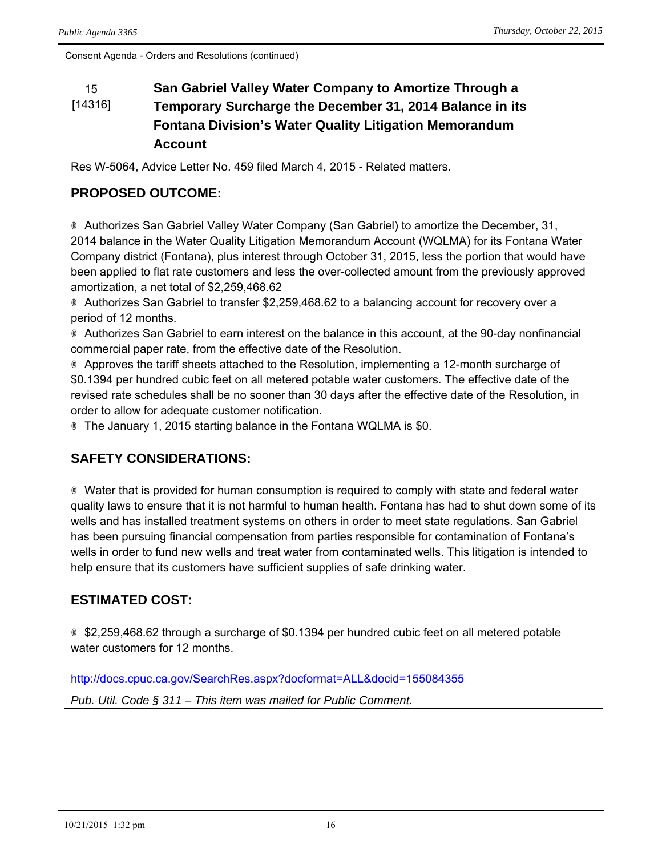#### 15 **San Gabriel Valley Water Company to Amortize Through a**  [14316] **Temporary Surcharge the December 31, 2014 Balance in its Fontana Division's Water Quality Litigation Memorandum Account**

Res W-5064, Advice Letter No. 459 filed March 4, 2015 - Related matters.

### **PROPOSED OUTCOME:**

® Authorizes San Gabriel Valley Water Company (San Gabriel) to amortize the December, 31, 2014 balance in the Water Quality Litigation Memorandum Account (WQLMA) for its Fontana Water Company district (Fontana), plus interest through October 31, 2015, less the portion that would have been applied to flat rate customers and less the over-collected amount from the previously approved amortization, a net total of \$2,259,468.62

® Authorizes San Gabriel to transfer \$2,259,468.62 to a balancing account for recovery over a period of 12 months.

® Authorizes San Gabriel to earn interest on the balance in this account, at the 90-day nonfinancial commercial paper rate, from the effective date of the Resolution.

® Approves the tariff sheets attached to the Resolution, implementing a 12-month surcharge of \$0.1394 per hundred cubic feet on all metered potable water customers. The effective date of the revised rate schedules shall be no sooner than 30 days after the effective date of the Resolution, in order to allow for adequate customer notification.

® The January 1, 2015 starting balance in the Fontana WQLMA is \$0.

## **SAFETY CONSIDERATIONS:**

® Water that is provided for human consumption is required to comply with state and federal water quality laws to ensure that it is not harmful to human health. Fontana has had to shut down some of its wells and has installed treatment systems on others in order to meet state regulations. San Gabriel has been pursuing financial compensation from parties responsible for contamination of Fontana's wells in order to fund new wells and treat water from contaminated wells. This litigation is intended to help ensure that its customers have sufficient supplies of safe drinking water.

## **ESTIMATED COST:**

® \$2,259,468.62 through a surcharge of \$0.1394 per hundred cubic feet on all metered potable water customers for 12 months.

<http://docs.cpuc.ca.gov/SearchRes.aspx?docformat=ALL&docid=155084355>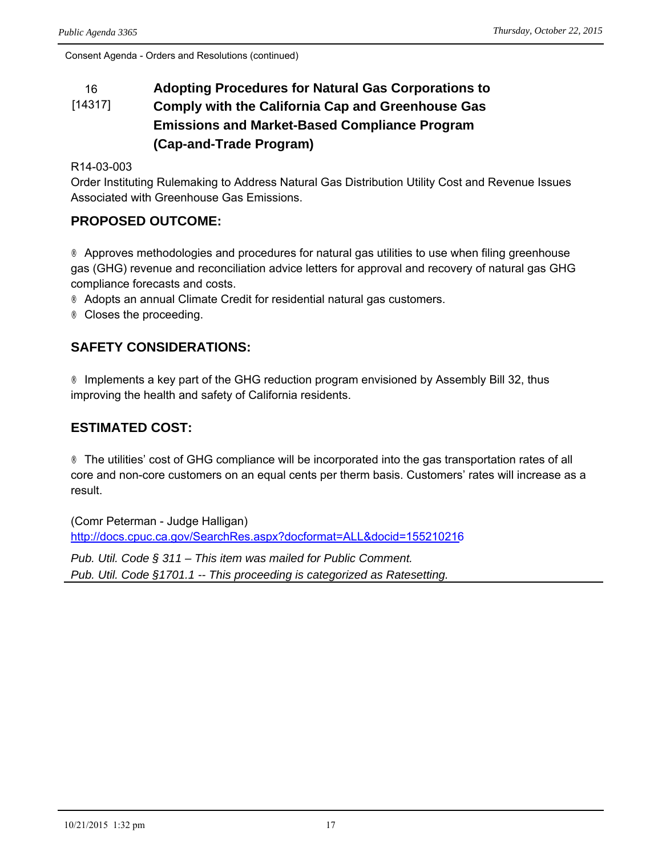#### 16 **Adopting Procedures for Natural Gas Corporations to**  [14317] **Comply with the California Cap and Greenhouse Gas Emissions and Market-Based Compliance Program (Cap-and-Trade Program)**

#### R14-03-003

Order Instituting Rulemaking to Address Natural Gas Distribution Utility Cost and Revenue Issues Associated with Greenhouse Gas Emissions.

#### **PROPOSED OUTCOME:**

® Approves methodologies and procedures for natural gas utilities to use when filing greenhouse gas (GHG) revenue and reconciliation advice letters for approval and recovery of natural gas GHG compliance forecasts and costs.

® Adopts an annual Climate Credit for residential natural gas customers.

® Closes the proceeding.

#### **SAFETY CONSIDERATIONS:**

® Implements a key part of the GHG reduction program envisioned by Assembly Bill 32, thus improving the health and safety of California residents.

#### **ESTIMATED COST:**

® The utilities' cost of GHG compliance will be incorporated into the gas transportation rates of all core and non-core customers on an equal cents per therm basis. Customers' rates will increase as a result.

(Comr Peterman - Judge Halligan) <http://docs.cpuc.ca.gov/SearchRes.aspx?docformat=ALL&docid=155210216>

*Pub. Util. Code § 311 – This item was mailed for Public Comment. Pub. Util. Code §1701.1 -- This proceeding is categorized as Ratesetting.*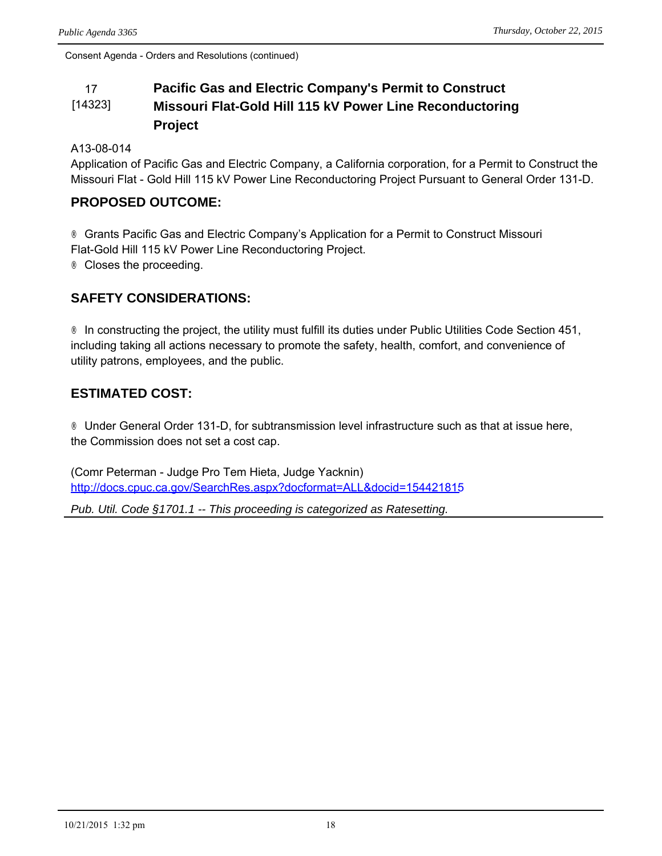#### 17 **Pacific Gas and Electric Company's Permit to Construct**  [14323] **Missouri Flat-Gold Hill 115 kV Power Line Reconductoring Project**

A13-08-014

Application of Pacific Gas and Electric Company, a California corporation, for a Permit to Construct the Missouri Flat - Gold Hill 115 kV Power Line Reconductoring Project Pursuant to General Order 131-D.

#### **PROPOSED OUTCOME:**

® Grants Pacific Gas and Electric Company's Application for a Permit to Construct Missouri Flat-Gold Hill 115 kV Power Line Reconductoring Project. ® Closes the proceeding.

### **SAFETY CONSIDERATIONS:**

® In constructing the project, the utility must fulfill its duties under Public Utilities Code Section 451, including taking all actions necessary to promote the safety, health, comfort, and convenience of utility patrons, employees, and the public.

### **ESTIMATED COST:**

® Under General Order 131-D, for subtransmission level infrastructure such as that at issue here, the Commission does not set a cost cap.

(Comr Peterman - Judge Pro Tem Hieta, Judge Yacknin) <http://docs.cpuc.ca.gov/SearchRes.aspx?docformat=ALL&docid=154421815>

*Pub. Util. Code §1701.1 -- This proceeding is categorized as Ratesetting.*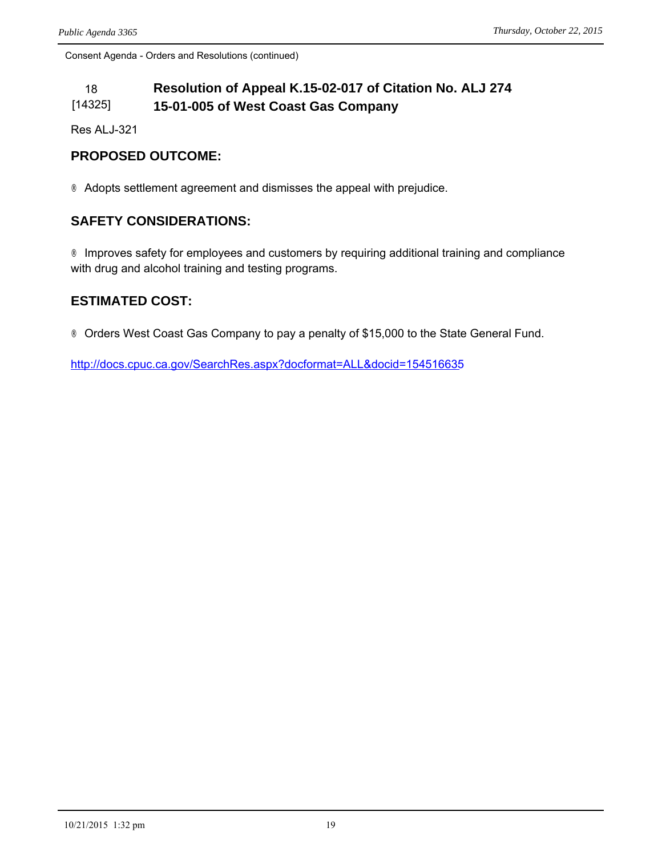#### 18 **Resolution of Appeal K.15-02-017 of Citation No. ALJ 274**  [14325] **15-01-005 of West Coast Gas Company**

Res ALJ-321

#### **PROPOSED OUTCOME:**

® Adopts settlement agreement and dismisses the appeal with prejudice.

#### **SAFETY CONSIDERATIONS:**

® Improves safety for employees and customers by requiring additional training and compliance with drug and alcohol training and testing programs.

#### **ESTIMATED COST:**

® Orders West Coast Gas Company to pay a penalty of \$15,000 to the State General Fund.

<http://docs.cpuc.ca.gov/SearchRes.aspx?docformat=ALL&docid=154516635>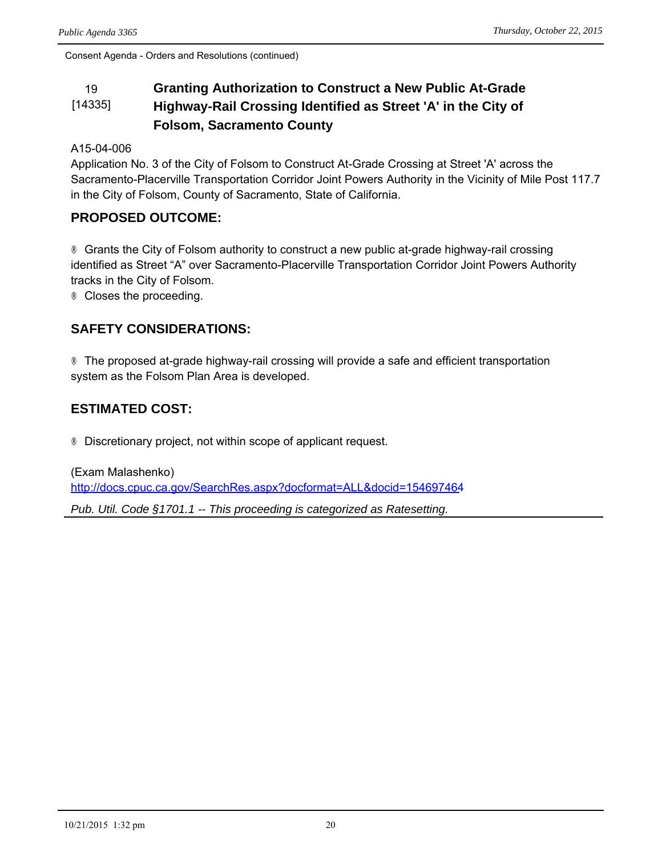#### 19 **Granting Authorization to Construct a New Public At-Grade**  [14335] **Highway-Rail Crossing Identified as Street 'A' in the City of Folsom, Sacramento County**

#### A15-04-006

Application No. 3 of the City of Folsom to Construct At-Grade Crossing at Street 'A' across the Sacramento-Placerville Transportation Corridor Joint Powers Authority in the Vicinity of Mile Post 117.7 in the City of Folsom, County of Sacramento, State of California.

#### **PROPOSED OUTCOME:**

® Grants the City of Folsom authority to construct a new public at-grade highway-rail crossing identified as Street "A" over Sacramento-Placerville Transportation Corridor Joint Powers Authority tracks in the City of Folsom.

® Closes the proceeding.

#### **SAFETY CONSIDERATIONS:**

® The proposed at-grade highway-rail crossing will provide a safe and efficient transportation system as the Folsom Plan Area is developed.

## **ESTIMATED COST:**

® Discretionary project, not within scope of applicant request.

(Exam Malashenko) <http://docs.cpuc.ca.gov/SearchRes.aspx?docformat=ALL&docid=154697464>

*Pub. Util. Code §1701.1 -- This proceeding is categorized as Ratesetting.*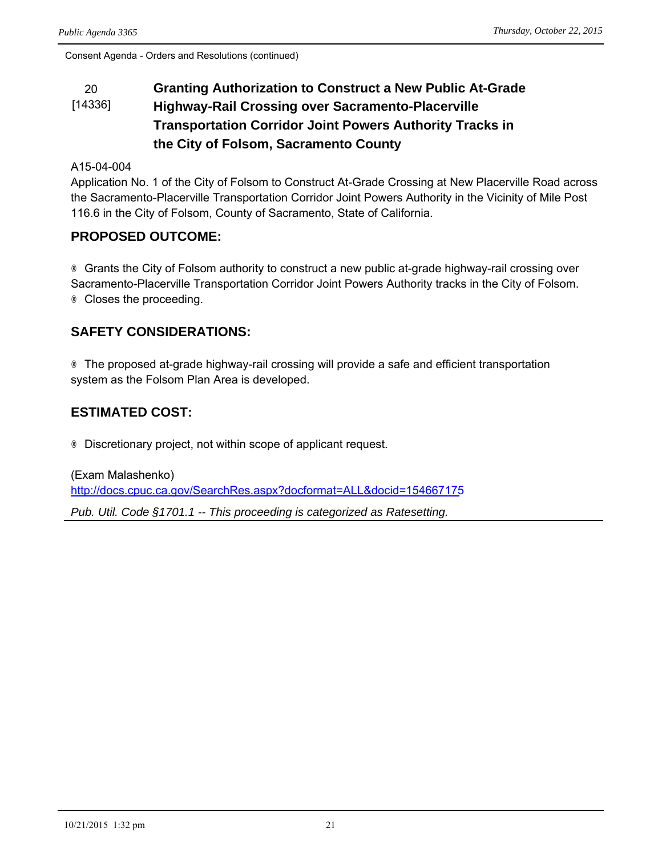#### 20 **Granting Authorization to Construct a New Public At-Grade**  [14336] **Highway-Rail Crossing over Sacramento-Placerville Transportation Corridor Joint Powers Authority Tracks in the City of Folsom, Sacramento County**

#### A15-04-004

Application No. 1 of the City of Folsom to Construct At-Grade Crossing at New Placerville Road across the Sacramento-Placerville Transportation Corridor Joint Powers Authority in the Vicinity of Mile Post 116.6 in the City of Folsom, County of Sacramento, State of California.

#### **PROPOSED OUTCOME:**

® Grants the City of Folsom authority to construct a new public at-grade highway-rail crossing over Sacramento-Placerville Transportation Corridor Joint Powers Authority tracks in the City of Folsom. ® Closes the proceeding.

#### **SAFETY CONSIDERATIONS:**

® The proposed at-grade highway-rail crossing will provide a safe and efficient transportation system as the Folsom Plan Area is developed.

### **ESTIMATED COST:**

® Discretionary project, not within scope of applicant request.

(Exam Malashenko) <http://docs.cpuc.ca.gov/SearchRes.aspx?docformat=ALL&docid=154667175> *Pub. Util. Code §1701.1 -- This proceeding is categorized as Ratesetting.*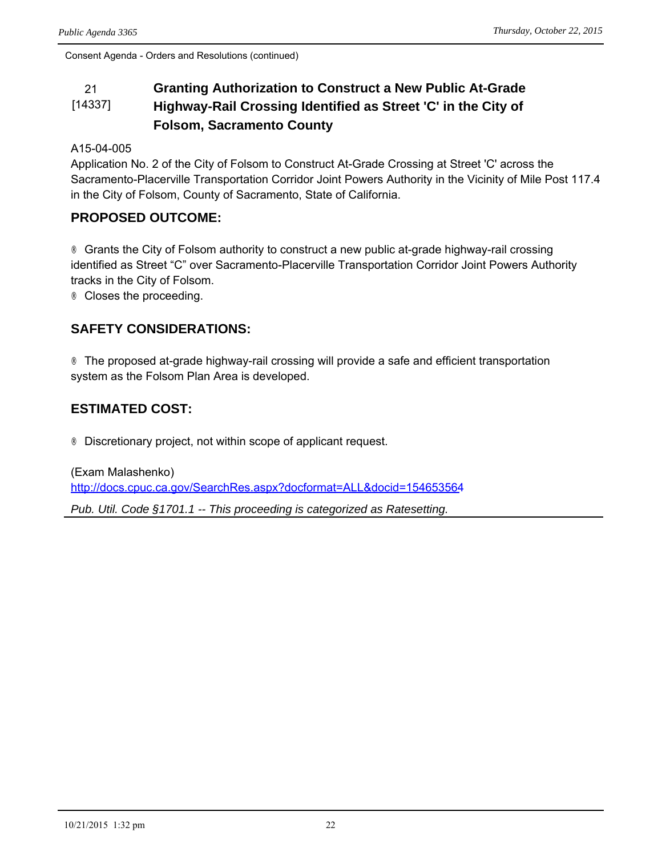#### 21 **Granting Authorization to Construct a New Public At-Grade**  [14337] **Highway-Rail Crossing Identified as Street 'C' in the City of Folsom, Sacramento County**

#### A15-04-005

Application No. 2 of the City of Folsom to Construct At-Grade Crossing at Street 'C' across the Sacramento-Placerville Transportation Corridor Joint Powers Authority in the Vicinity of Mile Post 117.4 in the City of Folsom, County of Sacramento, State of California.

#### **PROPOSED OUTCOME:**

® Grants the City of Folsom authority to construct a new public at-grade highway-rail crossing identified as Street "C" over Sacramento-Placerville Transportation Corridor Joint Powers Authority tracks in the City of Folsom.

® Closes the proceeding.

#### **SAFETY CONSIDERATIONS:**

® The proposed at-grade highway-rail crossing will provide a safe and efficient transportation system as the Folsom Plan Area is developed.

## **ESTIMATED COST:**

® Discretionary project, not within scope of applicant request.

(Exam Malashenko) <http://docs.cpuc.ca.gov/SearchRes.aspx?docformat=ALL&docid=154653564>

*Pub. Util. Code §1701.1 -- This proceeding is categorized as Ratesetting.*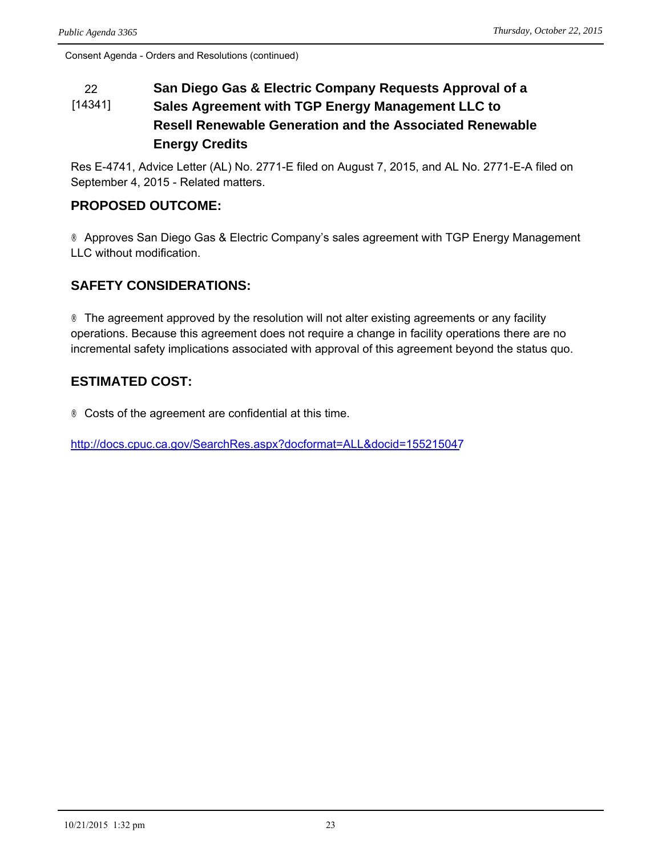#### 22 **San Diego Gas & Electric Company Requests Approval of a**  [14341] **Sales Agreement with TGP Energy Management LLC to Resell Renewable Generation and the Associated Renewable Energy Credits**

Res E-4741, Advice Letter (AL) No. 2771-E filed on August 7, 2015, and AL No. 2771-E-A filed on September 4, 2015 - Related matters.

## **PROPOSED OUTCOME:**

® Approves San Diego Gas & Electric Company's sales agreement with TGP Energy Management LLC without modification.

### **SAFETY CONSIDERATIONS:**

® The agreement approved by the resolution will not alter existing agreements or any facility operations. Because this agreement does not require a change in facility operations there are no incremental safety implications associated with approval of this agreement beyond the status quo.

## **ESTIMATED COST:**

® Costs of the agreement are confidential at this time.

<http://docs.cpuc.ca.gov/SearchRes.aspx?docformat=ALL&docid=155215047>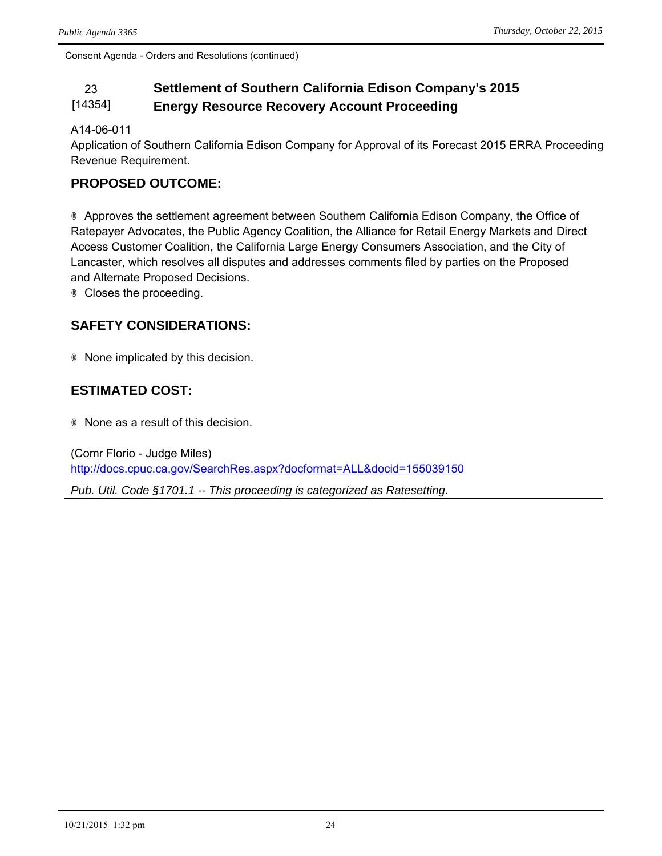#### 23 **Settlement of Southern California Edison Company's 2015**  [14354] **Energy Resource Recovery Account Proceeding**

#### A14-06-011

Application of Southern California Edison Company for Approval of its Forecast 2015 ERRA Proceeding Revenue Requirement.

#### **PROPOSED OUTCOME:**

® Approves the settlement agreement between Southern California Edison Company, the Office of Ratepayer Advocates, the Public Agency Coalition, the Alliance for Retail Energy Markets and Direct Access Customer Coalition, the California Large Energy Consumers Association, and the City of Lancaster, which resolves all disputes and addresses comments filed by parties on the Proposed and Alternate Proposed Decisions.

® Closes the proceeding.

#### **SAFETY CONSIDERATIONS:**

® None implicated by this decision.

#### **ESTIMATED COST:**

® None as a result of this decision.

(Comr Florio - Judge Miles) <http://docs.cpuc.ca.gov/SearchRes.aspx?docformat=ALL&docid=155039150>

*Pub. Util. Code §1701.1 -- This proceeding is categorized as Ratesetting.*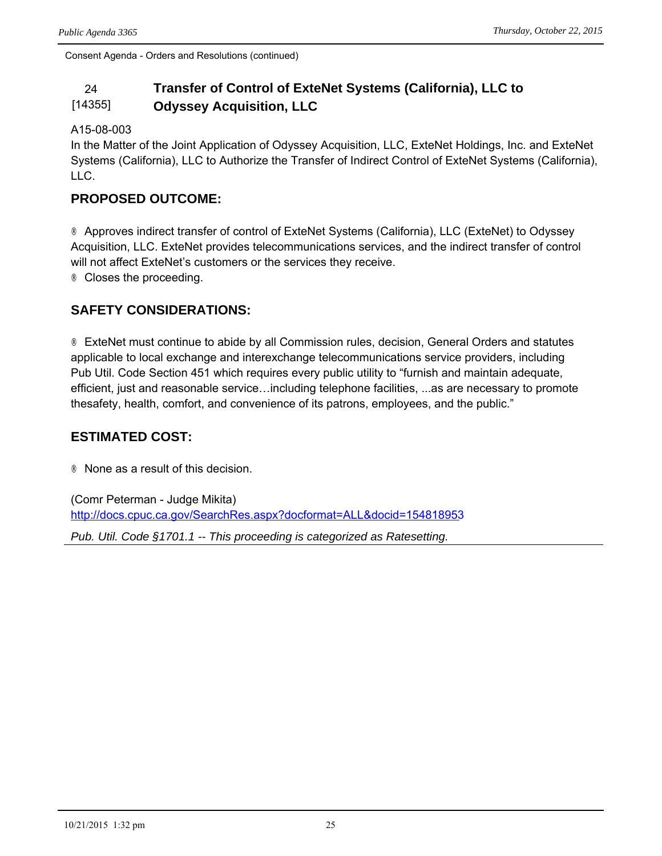#### 24 **Transfer of Control of ExteNet Systems (California), LLC to**  [14355] **Odyssey Acquisition, LLC**

#### A15-08-003

In the Matter of the Joint Application of Odyssey Acquisition, LLC, ExteNet Holdings, Inc. and ExteNet Systems (California), LLC to Authorize the Transfer of Indirect Control of ExteNet Systems (California), LLC.

#### **PROPOSED OUTCOME:**

® Approves indirect transfer of control of ExteNet Systems (California), LLC (ExteNet) to Odyssey Acquisition, LLC. ExteNet provides telecommunications services, and the indirect transfer of control will not affect ExteNet's customers or the services they receive. ® Closes the proceeding.

### **SAFETY CONSIDERATIONS:**

® ExteNet must continue to abide by all Commission rules, decision, General Orders and statutes applicable to local exchange and interexchange telecommunications service providers, including Pub Util. Code Section 451 which requires every public utility to "furnish and maintain adequate, efficient, just and reasonable service…including telephone facilities, ...as are necessary to promote thesafety, health, comfort, and convenience of its patrons, employees, and the public."

#### **ESTIMATED COST:**

® None as a result of this decision.

(Comr Peterman - Judge Mikita) <http://docs.cpuc.ca.gov/SearchRes.aspx?docformat=ALL&docid=154818953>

*Pub. Util. Code §1701.1 -- This proceeding is categorized as Ratesetting.*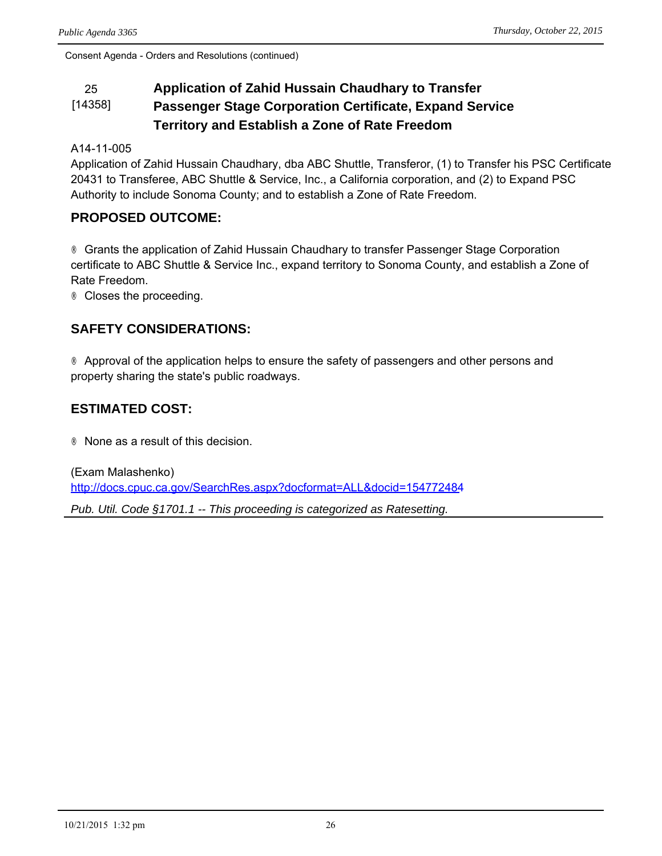#### 25 **Application of Zahid Hussain Chaudhary to Transfer**  [14358] **Passenger Stage Corporation Certificate, Expand Service Territory and Establish a Zone of Rate Freedom**

#### A14-11-005

Application of Zahid Hussain Chaudhary, dba ABC Shuttle, Transferor, (1) to Transfer his PSC Certificate 20431 to Transferee, ABC Shuttle & Service, Inc., a California corporation, and (2) to Expand PSC Authority to include Sonoma County; and to establish a Zone of Rate Freedom.

#### **PROPOSED OUTCOME:**

® Grants the application of Zahid Hussain Chaudhary to transfer Passenger Stage Corporation certificate to ABC Shuttle & Service Inc., expand territory to Sonoma County, and establish a Zone of Rate Freedom.

® Closes the proceeding.

#### **SAFETY CONSIDERATIONS:**

® Approval of the application helps to ensure the safety of passengers and other persons and property sharing the state's public roadways.

### **ESTIMATED COST:**

® None as a result of this decision.

(Exam Malashenko) <http://docs.cpuc.ca.gov/SearchRes.aspx?docformat=ALL&docid=154772484> *Pub. Util. Code §1701.1 -- This proceeding is categorized as Ratesetting.*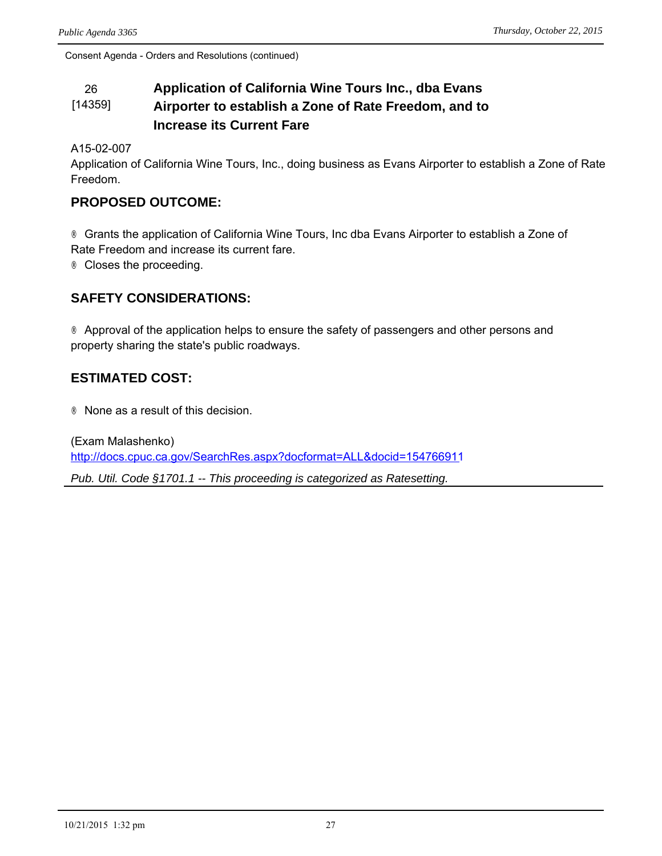#### 26 **Application of California Wine Tours Inc., dba Evans**  [14359] **Airporter to establish a Zone of Rate Freedom, and to Increase its Current Fare**

A15-02-007

Application of California Wine Tours, Inc., doing business as Evans Airporter to establish a Zone of Rate Freedom.

#### **PROPOSED OUTCOME:**

® Grants the application of California Wine Tours, Inc dba Evans Airporter to establish a Zone of Rate Freedom and increase its current fare.

® Closes the proceeding.

#### **SAFETY CONSIDERATIONS:**

® Approval of the application helps to ensure the safety of passengers and other persons and property sharing the state's public roadways.

#### **ESTIMATED COST:**

® None as a result of this decision.

(Exam Malashenko) <http://docs.cpuc.ca.gov/SearchRes.aspx?docformat=ALL&docid=154766911> *Pub. Util. Code §1701.1 -- This proceeding is categorized as Ratesetting.*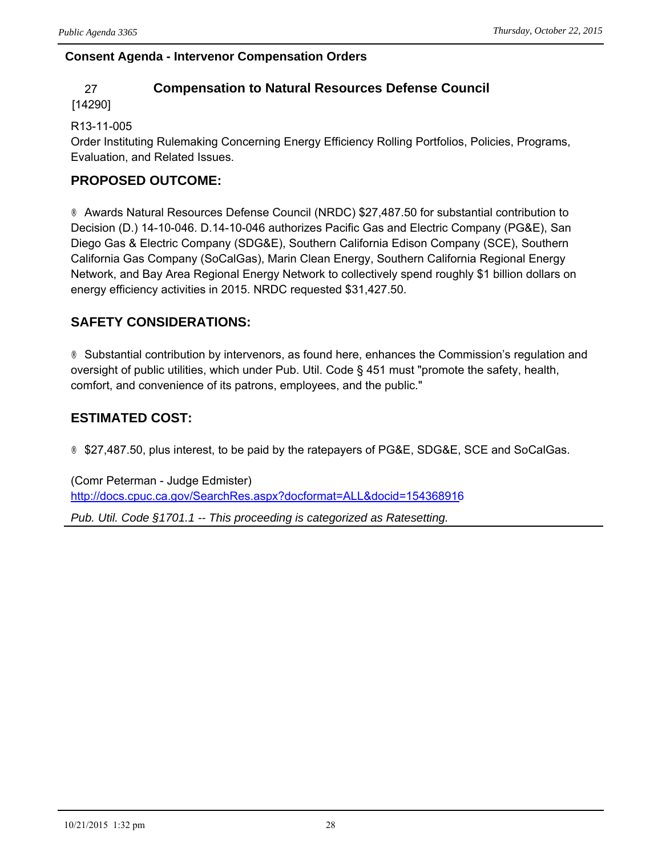#### **Consent Agenda - Intervenor Compensation Orders**

#### 27 **Compensation to Natural Resources Defense Council**

#### [14290]

#### R13-11-005

Order Instituting Rulemaking Concerning Energy Efficiency Rolling Portfolios, Policies, Programs, Evaluation, and Related Issues.

## **PROPOSED OUTCOME:**

® Awards Natural Resources Defense Council (NRDC) \$27,487.50 for substantial contribution to Decision (D.) 14-10-046. D.14-10-046 authorizes Pacific Gas and Electric Company (PG&E), San Diego Gas & Electric Company (SDG&E), Southern California Edison Company (SCE), Southern California Gas Company (SoCalGas), Marin Clean Energy, Southern California Regional Energy Network, and Bay Area Regional Energy Network to collectively spend roughly \$1 billion dollars on energy efficiency activities in 2015. NRDC requested \$31,427.50.

## **SAFETY CONSIDERATIONS:**

® Substantial contribution by intervenors, as found here, enhances the Commission's regulation and oversight of public utilities, which under Pub. Util. Code § 451 must "promote the safety, health, comfort, and convenience of its patrons, employees, and the public."

## **ESTIMATED COST:**

® \$27,487.50, plus interest, to be paid by the ratepayers of PG&E, SDG&E, SCE and SoCalGas.

(Comr Peterman - Judge Edmister) <http://docs.cpuc.ca.gov/SearchRes.aspx?docformat=ALL&docid=154368916> *Pub. Util. Code §1701.1 -- This proceeding is categorized as Ratesetting.*

10/21/2015 1:32 pm 28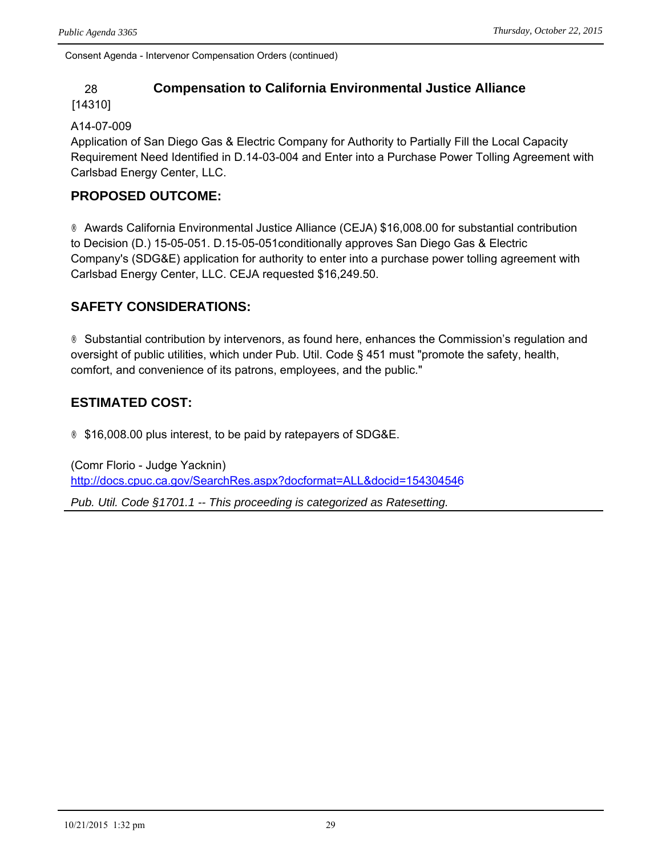#### 28 **Compensation to California Environmental Justice Alliance**

#### [14310]

#### A14-07-009

Application of San Diego Gas & Electric Company for Authority to Partially Fill the Local Capacity Requirement Need Identified in D.14-03-004 and Enter into a Purchase Power Tolling Agreement with Carlsbad Energy Center, LLC.

## **PROPOSED OUTCOME:**

® Awards California Environmental Justice Alliance (CEJA) \$16,008.00 for substantial contribution to Decision (D.) 15-05-051. D.15-05-051conditionally approves San Diego Gas & Electric Company's (SDG&E) application for authority to enter into a purchase power tolling agreement with Carlsbad Energy Center, LLC. CEJA requested \$16,249.50.

### **SAFETY CONSIDERATIONS:**

® Substantial contribution by intervenors, as found here, enhances the Commission's regulation and oversight of public utilities, which under Pub. Util. Code § 451 must "promote the safety, health, comfort, and convenience of its patrons, employees, and the public."

### **ESTIMATED COST:**

® \$16,008.00 plus interest, to be paid by ratepayers of SDG&E.

(Comr Florio - Judge Yacknin) <http://docs.cpuc.ca.gov/SearchRes.aspx?docformat=ALL&docid=154304546>

*Pub. Util. Code §1701.1 -- This proceeding is categorized as Ratesetting.*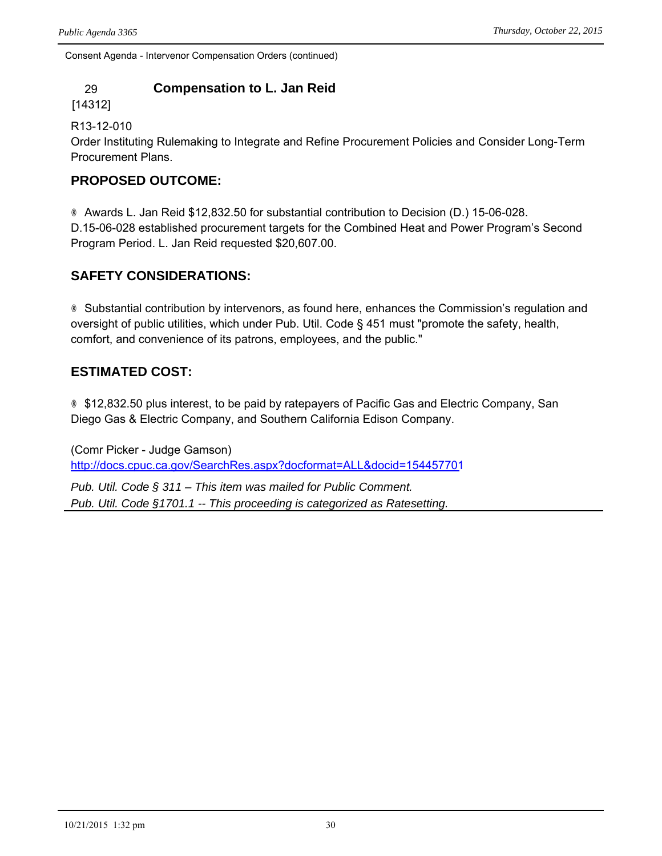## 29 **Compensation to L. Jan Reid**

[14312]

R13-12-010

Order Instituting Rulemaking to Integrate and Refine Procurement Policies and Consider Long-Term Procurement Plans.

## **PROPOSED OUTCOME:**

® Awards L. Jan Reid \$12,832.50 for substantial contribution to Decision (D.) 15-06-028. D.15-06-028 established procurement targets for the Combined Heat and Power Program's Second Program Period. L. Jan Reid requested \$20,607.00.

## **SAFETY CONSIDERATIONS:**

® Substantial contribution by intervenors, as found here, enhances the Commission's regulation and oversight of public utilities, which under Pub. Util. Code § 451 must "promote the safety, health, comfort, and convenience of its patrons, employees, and the public."

## **ESTIMATED COST:**

® \$12,832.50 plus interest, to be paid by ratepayers of Pacific Gas and Electric Company, San Diego Gas & Electric Company, and Southern California Edison Company.

(Comr Picker - Judge Gamson) <http://docs.cpuc.ca.gov/SearchRes.aspx?docformat=ALL&docid=154457701>

*Pub. Util. Code § 311 – This item was mailed for Public Comment. Pub. Util. Code §1701.1 -- This proceeding is categorized as Ratesetting.*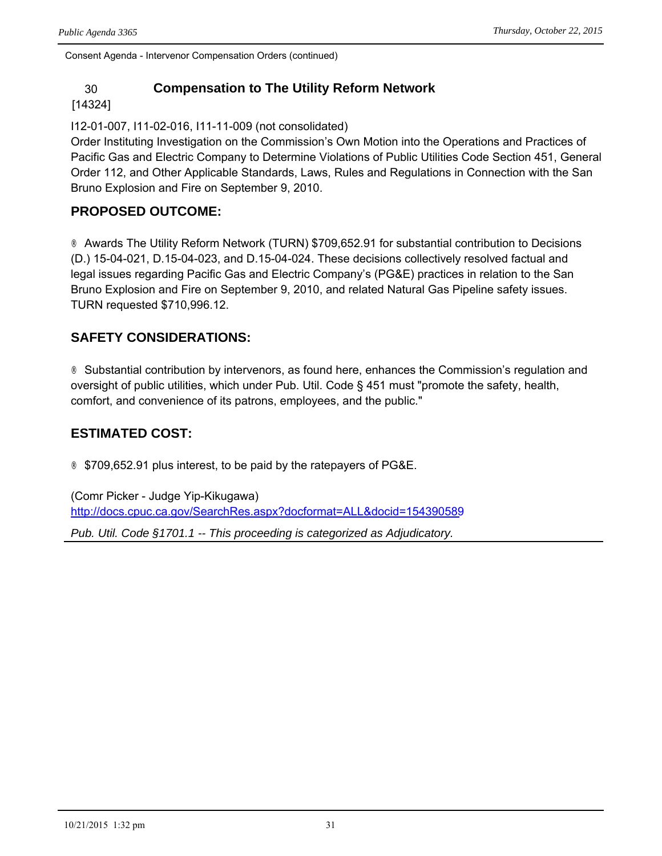#### 30 **Compensation to The Utility Reform Network**

#### [14324]

I12-01-007, I11-02-016, I11-11-009 (not consolidated)

Order Instituting Investigation on the Commission's Own Motion into the Operations and Practices of Pacific Gas and Electric Company to Determine Violations of Public Utilities Code Section 451, General Order 112, and Other Applicable Standards, Laws, Rules and Regulations in Connection with the San Bruno Explosion and Fire on September 9, 2010.

#### **PROPOSED OUTCOME:**

® Awards The Utility Reform Network (TURN) \$709,652.91 for substantial contribution to Decisions (D.) 15-04-021, D.15-04-023, and D.15-04-024. These decisions collectively resolved factual and legal issues regarding Pacific Gas and Electric Company's (PG&E) practices in relation to the San Bruno Explosion and Fire on September 9, 2010, and related Natural Gas Pipeline safety issues. TURN requested \$710,996.12.

### **SAFETY CONSIDERATIONS:**

® Substantial contribution by intervenors, as found here, enhances the Commission's regulation and oversight of public utilities, which under Pub. Util. Code § 451 must "promote the safety, health, comfort, and convenience of its patrons, employees, and the public."

## **ESTIMATED COST:**

® \$709,652.91 plus interest, to be paid by the ratepayers of PG&E.

(Comr Picker - Judge Yip-Kikugawa) <http://docs.cpuc.ca.gov/SearchRes.aspx?docformat=ALL&docid=154390589>

*Pub. Util. Code §1701.1 -- This proceeding is categorized as Adjudicatory.*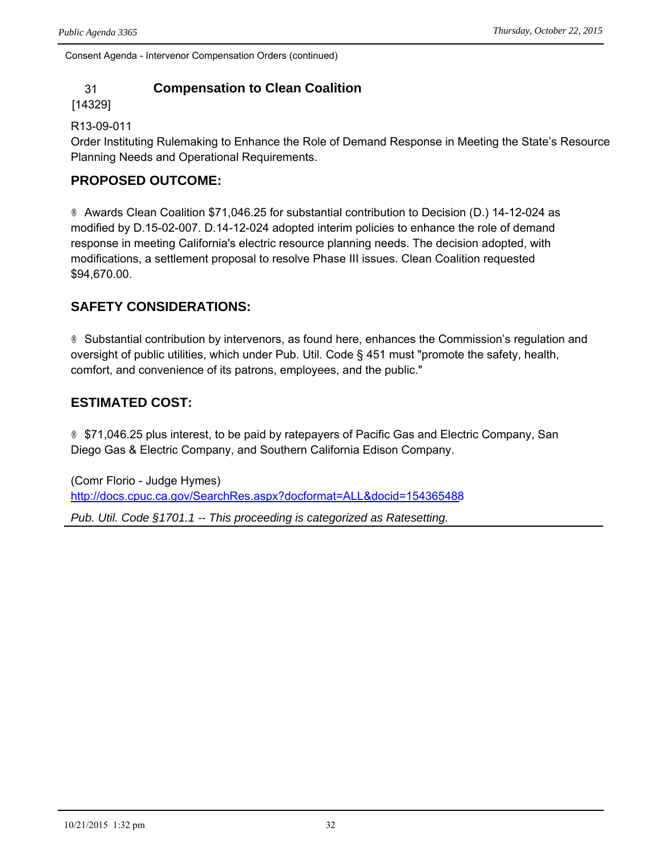## 31 **Compensation to Clean Coalition**

#### [14329]

#### R13-09-011

Order Instituting Rulemaking to Enhance the Role of Demand Response in Meeting the State's Resource Planning Needs and Operational Requirements.

### **PROPOSED OUTCOME:**

® Awards Clean Coalition \$71,046.25 for substantial contribution to Decision (D.) 14-12-024 as modified by D.15-02-007. D.14-12-024 adopted interim policies to enhance the role of demand response in meeting California's electric resource planning needs. The decision adopted, with modifications, a settlement proposal to resolve Phase III issues. Clean Coalition requested \$94,670.00.

## **SAFETY CONSIDERATIONS:**

® Substantial contribution by intervenors, as found here, enhances the Commission's regulation and oversight of public utilities, which under Pub. Util. Code § 451 must "promote the safety, health, comfort, and convenience of its patrons, employees, and the public."

### **ESTIMATED COST:**

® \$71,046.25 plus interest, to be paid by ratepayers of Pacific Gas and Electric Company, San Diego Gas & Electric Company, and Southern California Edison Company.

(Comr Florio - Judge Hymes) <http://docs.cpuc.ca.gov/SearchRes.aspx?docformat=ALL&docid=154365488> *Pub. Util. Code §1701.1 -- This proceeding is categorized as Ratesetting.*

10/21/2015 1:32 pm 32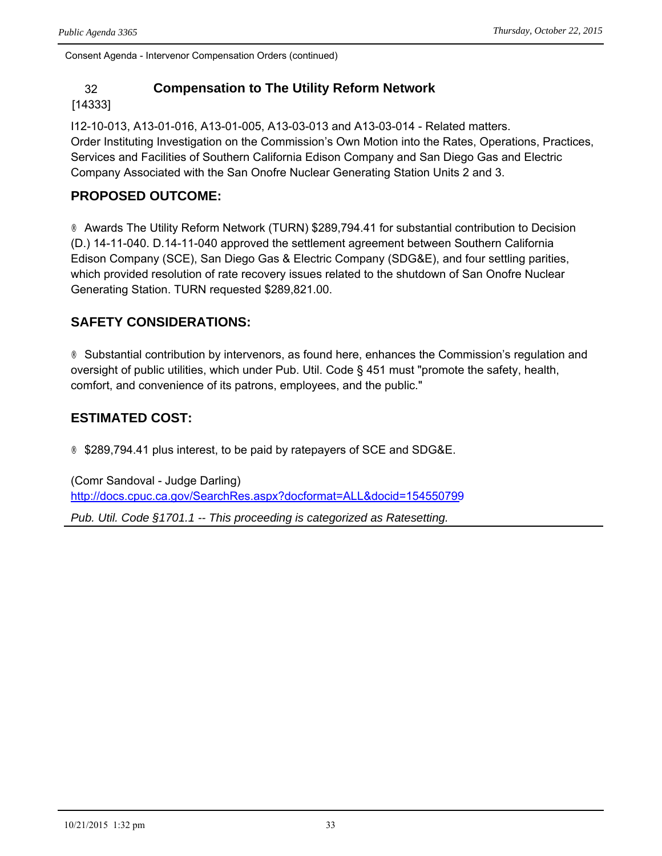## 32 **Compensation to The Utility Reform Network**

#### [14333]

I12-10-013, A13-01-016, A13-01-005, A13-03-013 and A13-03-014 - Related matters. Order Instituting Investigation on the Commission's Own Motion into the Rates, Operations, Practices, Services and Facilities of Southern California Edison Company and San Diego Gas and Electric Company Associated with the San Onofre Nuclear Generating Station Units 2 and 3.

## **PROPOSED OUTCOME:**

® Awards The Utility Reform Network (TURN) \$289,794.41 for substantial contribution to Decision (D.) 14-11-040. D.14-11-040 approved the settlement agreement between Southern California Edison Company (SCE), San Diego Gas & Electric Company (SDG&E), and four settling parities, which provided resolution of rate recovery issues related to the shutdown of San Onofre Nuclear Generating Station. TURN requested \$289,821.00.

## **SAFETY CONSIDERATIONS:**

® Substantial contribution by intervenors, as found here, enhances the Commission's regulation and oversight of public utilities, which under Pub. Util. Code § 451 must "promote the safety, health, comfort, and convenience of its patrons, employees, and the public."

## **ESTIMATED COST:**

® \$289,794.41 plus interest, to be paid by ratepayers of SCE and SDG&E.

(Comr Sandoval - Judge Darling) <http://docs.cpuc.ca.gov/SearchRes.aspx?docformat=ALL&docid=154550799> *Pub. Util. Code §1701.1 -- This proceeding is categorized as Ratesetting.*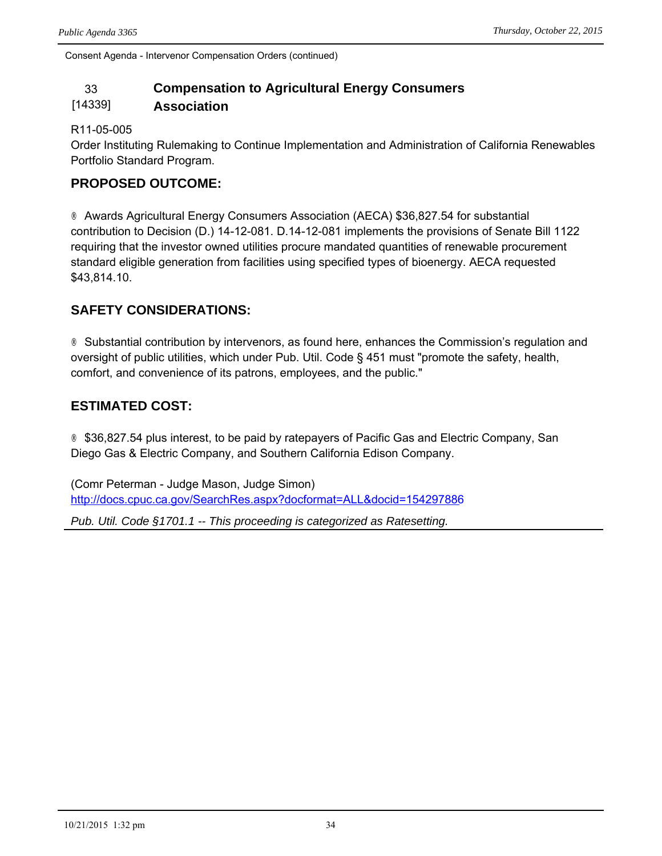## 33 **Compensation to Agricultural Energy Consumers**

#### [14339] **Association**

#### R11-05-005

Order Instituting Rulemaking to Continue Implementation and Administration of California Renewables Portfolio Standard Program.

## **PROPOSED OUTCOME:**

® Awards Agricultural Energy Consumers Association (AECA) \$36,827.54 for substantial contribution to Decision (D.) 14-12-081. D.14-12-081 implements the provisions of Senate Bill 1122 requiring that the investor owned utilities procure mandated quantities of renewable procurement standard eligible generation from facilities using specified types of bioenergy. AECA requested \$43,814.10.

## **SAFETY CONSIDERATIONS:**

® Substantial contribution by intervenors, as found here, enhances the Commission's regulation and oversight of public utilities, which under Pub. Util. Code § 451 must "promote the safety, health, comfort, and convenience of its patrons, employees, and the public."

## **ESTIMATED COST:**

® \$36,827.54 plus interest, to be paid by ratepayers of Pacific Gas and Electric Company, San Diego Gas & Electric Company, and Southern California Edison Company.

(Comr Peterman - Judge Mason, Judge Simon) <http://docs.cpuc.ca.gov/SearchRes.aspx?docformat=ALL&docid=154297886>

*Pub. Util. Code §1701.1 -- This proceeding is categorized as Ratesetting.*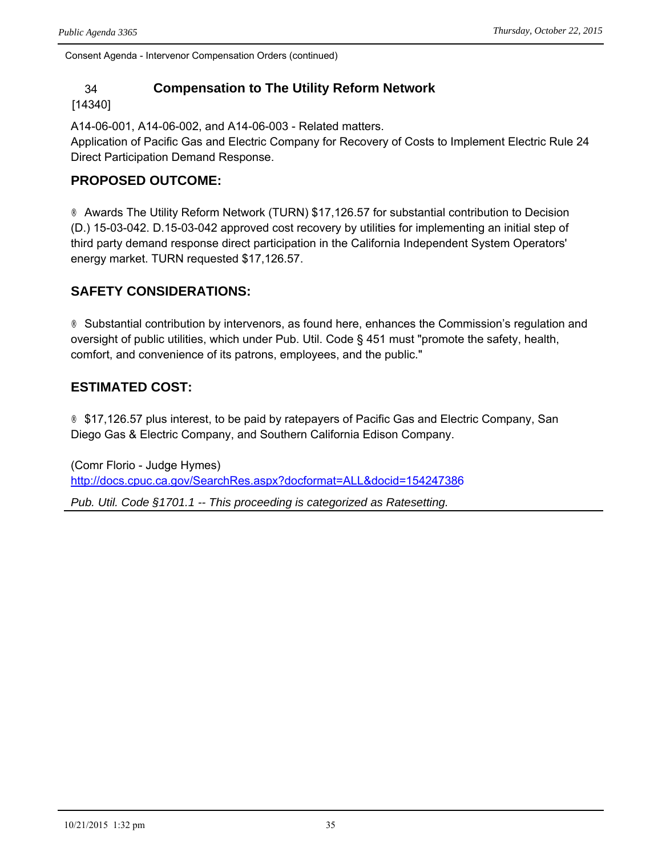#### 34 **Compensation to The Utility Reform Network**

#### [14340]

A14-06-001, A14-06-002, and A14-06-003 - Related matters.

Application of Pacific Gas and Electric Company for Recovery of Costs to Implement Electric Rule 24 Direct Participation Demand Response.

#### **PROPOSED OUTCOME:**

® Awards The Utility Reform Network (TURN) \$17,126.57 for substantial contribution to Decision (D.) 15-03-042. D.15-03-042 approved cost recovery by utilities for implementing an initial step of third party demand response direct participation in the California Independent System Operators' energy market. TURN requested \$17,126.57.

### **SAFETY CONSIDERATIONS:**

® Substantial contribution by intervenors, as found here, enhances the Commission's regulation and oversight of public utilities, which under Pub. Util. Code § 451 must "promote the safety, health, comfort, and convenience of its patrons, employees, and the public."

#### **ESTIMATED COST:**

® \$17,126.57 plus interest, to be paid by ratepayers of Pacific Gas and Electric Company, San Diego Gas & Electric Company, and Southern California Edison Company.

(Comr Florio - Judge Hymes) <http://docs.cpuc.ca.gov/SearchRes.aspx?docformat=ALL&docid=154247386>

*Pub. Util. Code §1701.1 -- This proceeding is categorized as Ratesetting.*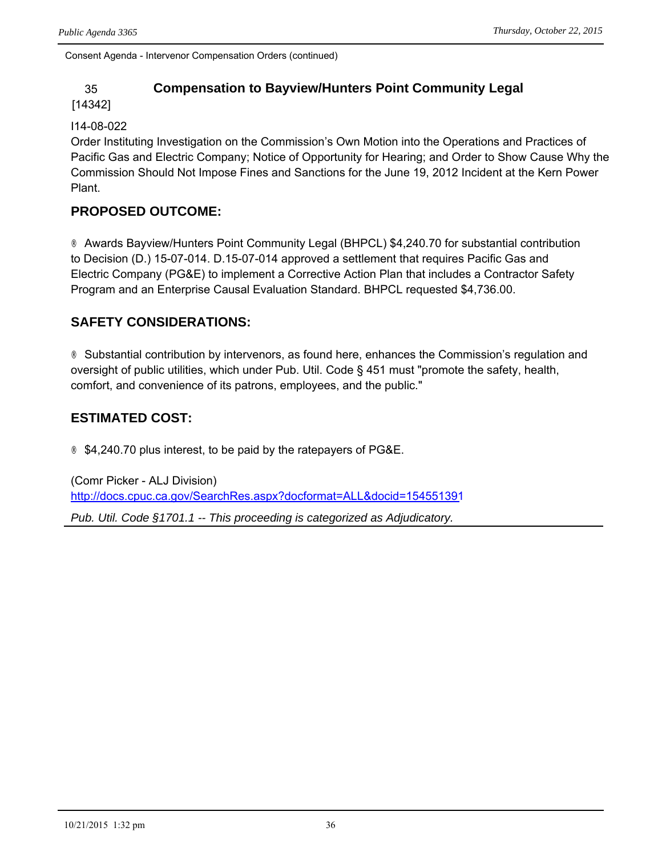### 35 **Compensation to Bayview/Hunters Point Community Legal**

#### [14342]

#### I14-08-022

Order Instituting Investigation on the Commission's Own Motion into the Operations and Practices of Pacific Gas and Electric Company; Notice of Opportunity for Hearing; and Order to Show Cause Why the Commission Should Not Impose Fines and Sanctions for the June 19, 2012 Incident at the Kern Power Plant.

#### **PROPOSED OUTCOME:**

® Awards Bayview/Hunters Point Community Legal (BHPCL) \$4,240.70 for substantial contribution to Decision (D.) 15-07-014. D.15-07-014 approved a settlement that requires Pacific Gas and Electric Company (PG&E) to implement a Corrective Action Plan that includes a Contractor Safety Program and an Enterprise Causal Evaluation Standard. BHPCL requested \$4,736.00.

### **SAFETY CONSIDERATIONS:**

® Substantial contribution by intervenors, as found here, enhances the Commission's regulation and oversight of public utilities, which under Pub. Util. Code § 451 must "promote the safety, health, comfort, and convenience of its patrons, employees, and the public."

## **ESTIMATED COST:**

® \$4,240.70 plus interest, to be paid by the ratepayers of PG&E.

(Comr Picker - ALJ Division) <http://docs.cpuc.ca.gov/SearchRes.aspx?docformat=ALL&docid=154551391> *Pub. Util. Code §1701.1 -- This proceeding is categorized as Adjudicatory.*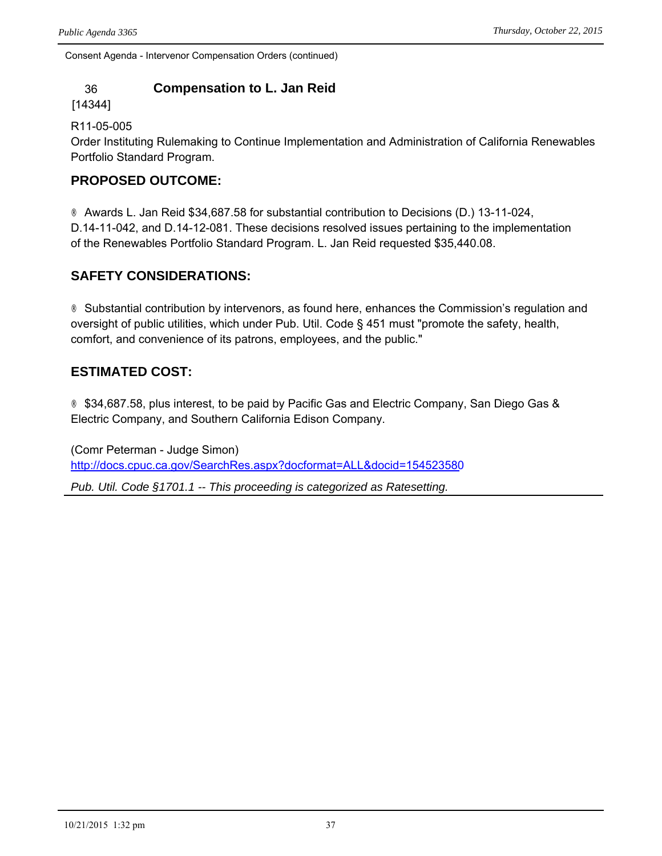### 36 **Compensation to L. Jan Reid**

[14344]

R11-05-005

Order Instituting Rulemaking to Continue Implementation and Administration of California Renewables Portfolio Standard Program.

#### **PROPOSED OUTCOME:**

® Awards L. Jan Reid \$34,687.58 for substantial contribution to Decisions (D.) 13-11-024, D.14-11-042, and D.14-12-081. These decisions resolved issues pertaining to the implementation of the Renewables Portfolio Standard Program. L. Jan Reid requested \$35,440.08.

#### **SAFETY CONSIDERATIONS:**

® Substantial contribution by intervenors, as found here, enhances the Commission's regulation and oversight of public utilities, which under Pub. Util. Code § 451 must "promote the safety, health, comfort, and convenience of its patrons, employees, and the public."

### **ESTIMATED COST:**

® \$34,687.58, plus interest, to be paid by Pacific Gas and Electric Company, San Diego Gas & Electric Company, and Southern California Edison Company.

(Comr Peterman - Judge Simon) <http://docs.cpuc.ca.gov/SearchRes.aspx?docformat=ALL&docid=154523580>

*Pub. Util. Code §1701.1 -- This proceeding is categorized as Ratesetting.*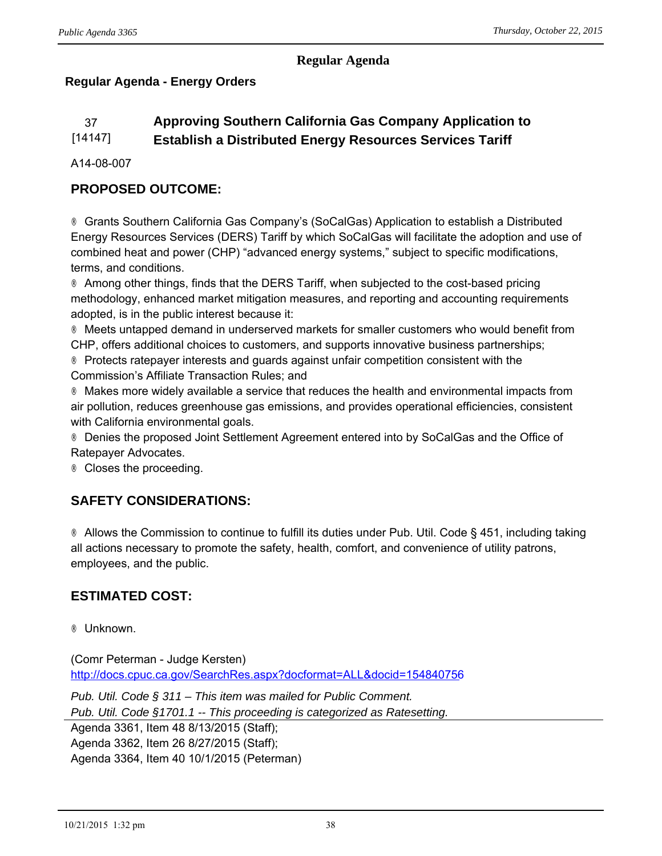#### **Regular Agenda**

## **Regular Agenda - Energy Orders**

# 37 **Approving Southern California Gas Company Application to**

#### [14147] **Establish a Distributed Energy Resources Services Tariff**

A14-08-007

## **PROPOSED OUTCOME:**

® Grants Southern California Gas Company's (SoCalGas) Application to establish a Distributed Energy Resources Services (DERS) Tariff by which SoCalGas will facilitate the adoption and use of combined heat and power (CHP) "advanced energy systems," subject to specific modifications, terms, and conditions.

® Among other things, finds that the DERS Tariff, when subjected to the cost-based pricing methodology, enhanced market mitigation measures, and reporting and accounting requirements adopted, is in the public interest because it:

® Meets untapped demand in underserved markets for smaller customers who would benefit from CHP, offers additional choices to customers, and supports innovative business partnerships;

® Protects ratepayer interests and guards against unfair competition consistent with the Commission's Affiliate Transaction Rules; and

® Makes more widely available a service that reduces the health and environmental impacts from air pollution, reduces greenhouse gas emissions, and provides operational efficiencies, consistent with California environmental goals.

® Denies the proposed Joint Settlement Agreement entered into by SoCalGas and the Office of Ratepayer Advocates.

® Closes the proceeding.

## **SAFETY CONSIDERATIONS:**

® Allows the Commission to continue to fulfill its duties under Pub. Util. Code § 451, including taking all actions necessary to promote the safety, health, comfort, and convenience of utility patrons, employees, and the public.

## **ESTIMATED COST:**

® Unknown.

(Comr Peterman - Judge Kersten) http://docs.cpuc.ca.gov/SearchRes.aspx?docformat=ALL&docid=154840756

*Pub. Util. Code § 311 – This item was mailed for Public Comment.*

*Pub. Util. Code §1701.1 -- This proceeding is categorized as Ratesetting.*

Agenda 3361, Item 48 8/13/2015 (Staff); Agenda 3362, Item 26 8/27/2015 (Staff); Agenda 3364, Item 40 10/1/2015 (Peterman)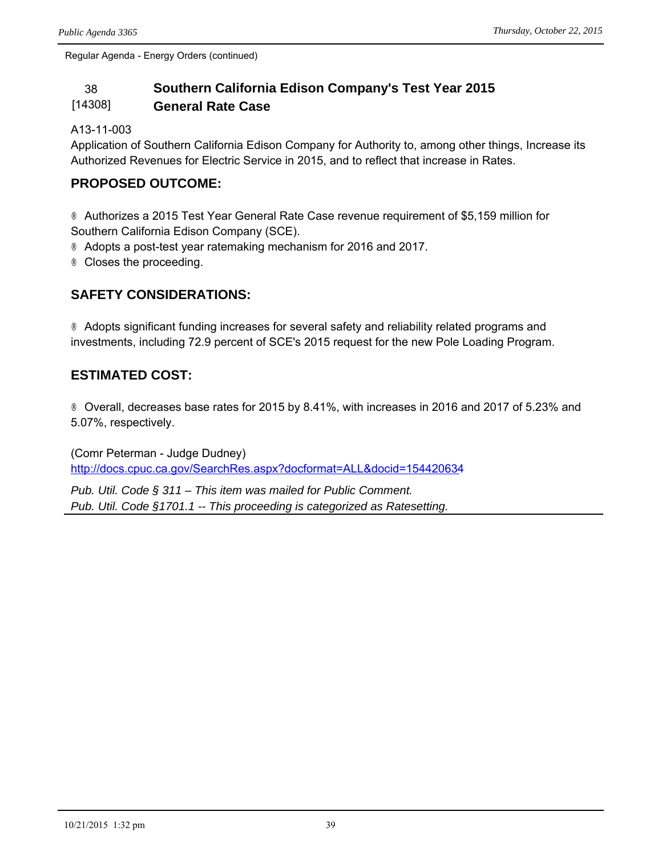Regular Agenda - Energy Orders (continued)

#### 38 **Southern California Edison Company's Test Year 2015**  [14308] **General Rate Case**

#### A13-11-003

Application of Southern California Edison Company for Authority to, among other things, Increase its Authorized Revenues for Electric Service in 2015, and to reflect that increase in Rates.

#### **PROPOSED OUTCOME:**

® Authorizes a 2015 Test Year General Rate Case revenue requirement of \$5,159 million for Southern California Edison Company (SCE).

- ® Adopts a post-test year ratemaking mechanism for 2016 and 2017.
- ® Closes the proceeding.

### **SAFETY CONSIDERATIONS:**

® Adopts significant funding increases for several safety and reliability related programs and investments, including 72.9 percent of SCE's 2015 request for the new Pole Loading Program.

#### **ESTIMATED COST:**

® Overall, decreases base rates for 2015 by 8.41%, with increases in 2016 and 2017 of 5.23% and 5.07%, respectively.

(Comr Peterman - Judge Dudney) <http://docs.cpuc.ca.gov/SearchRes.aspx?docformat=ALL&docid=154420634>

*Pub. Util. Code § 311 – This item was mailed for Public Comment. Pub. Util. Code §1701.1 -- This proceeding is categorized as Ratesetting.*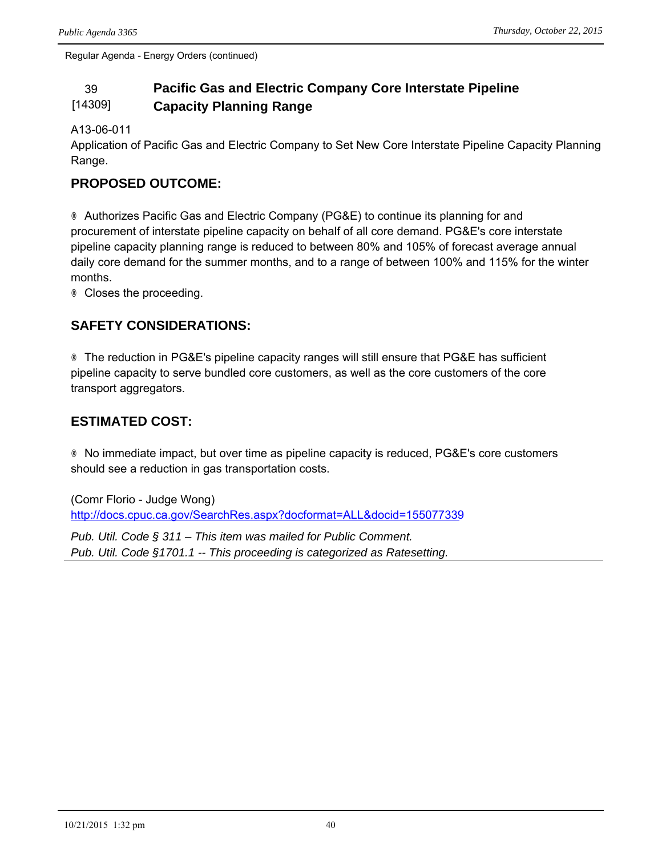Regular Agenda - Energy Orders (continued)

#### 39 **Pacific Gas and Electric Company Core Interstate Pipeline**  [14309] **Capacity Planning Range**

#### A13-06-011

Application of Pacific Gas and Electric Company to Set New Core Interstate Pipeline Capacity Planning Range.

#### **PROPOSED OUTCOME:**

® Authorizes Pacific Gas and Electric Company (PG&E) to continue its planning for and procurement of interstate pipeline capacity on behalf of all core demand. PG&E's core interstate pipeline capacity planning range is reduced to between 80% and 105% of forecast average annual daily core demand for the summer months, and to a range of between 100% and 115% for the winter months.

® Closes the proceeding.

## **SAFETY CONSIDERATIONS:**

® The reduction in PG&E's pipeline capacity ranges will still ensure that PG&E has sufficient pipeline capacity to serve bundled core customers, as well as the core customers of the core transport aggregators.

## **ESTIMATED COST:**

® No immediate impact, but over time as pipeline capacity is reduced, PG&E's core customers should see a reduction in gas transportation costs.

(Comr Florio - Judge Wong) <http://docs.cpuc.ca.gov/SearchRes.aspx?docformat=ALL&docid=155077339>

*Pub. Util. Code § 311 – This item was mailed for Public Comment. Pub. Util. Code §1701.1 -- This proceeding is categorized as Ratesetting.*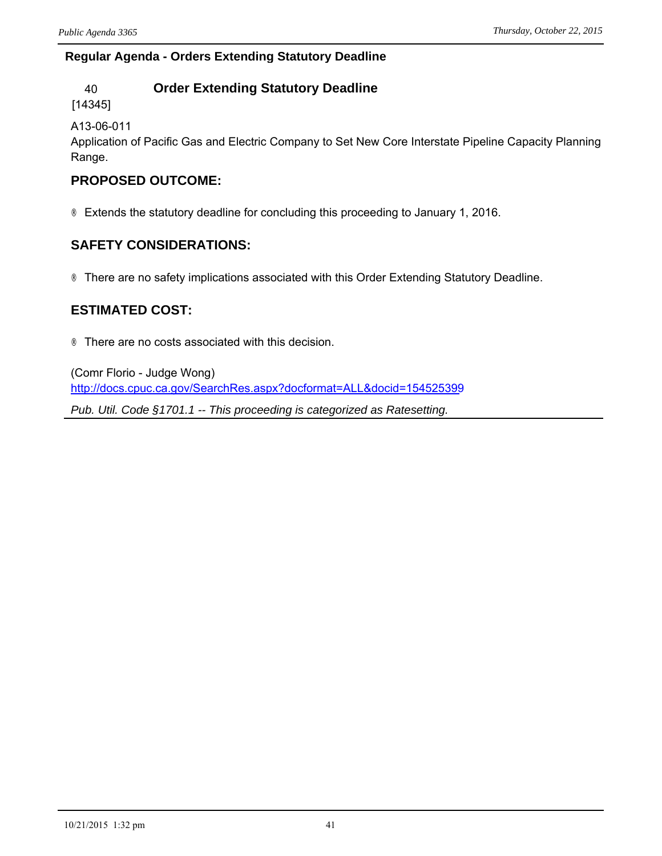#### **Regular Agenda - Orders Extending Statutory Deadline**

### 40 **Order Extending Statutory Deadline**

[14345]

A13-06-011

Application of Pacific Gas and Electric Company to Set New Core Interstate Pipeline Capacity Planning Range.

### **PROPOSED OUTCOME:**

® Extends the statutory deadline for concluding this proceeding to January 1, 2016.

## **SAFETY CONSIDERATIONS:**

® There are no safety implications associated with this Order Extending Statutory Deadline.

### **ESTIMATED COST:**

® There are no costs associated with this decision.

(Comr Florio - Judge Wong) <http://docs.cpuc.ca.gov/SearchRes.aspx?docformat=ALL&docid=154525399>

*Pub. Util. Code §1701.1 -- This proceeding is categorized as Ratesetting.*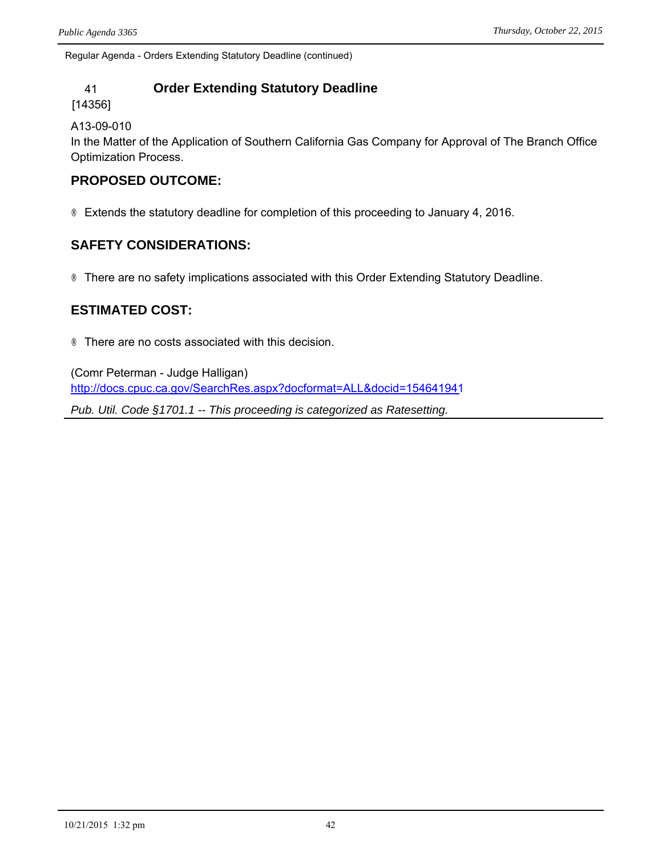Regular Agenda - Orders Extending Statutory Deadline (continued)

### 41 **Order Extending Statutory Deadline**

[14356]

A13-09-010

In the Matter of the Application of Southern California Gas Company for Approval of The Branch Office Optimization Process.

#### **PROPOSED OUTCOME:**

® Extends the statutory deadline for completion of this proceeding to January 4, 2016.

#### **SAFETY CONSIDERATIONS:**

® There are no safety implications associated with this Order Extending Statutory Deadline.

#### **ESTIMATED COST:**

® There are no costs associated with this decision.

(Comr Peterman - Judge Halligan) <http://docs.cpuc.ca.gov/SearchRes.aspx?docformat=ALL&docid=154641941>

*Pub. Util. Code §1701.1 -- This proceeding is categorized as Ratesetting.*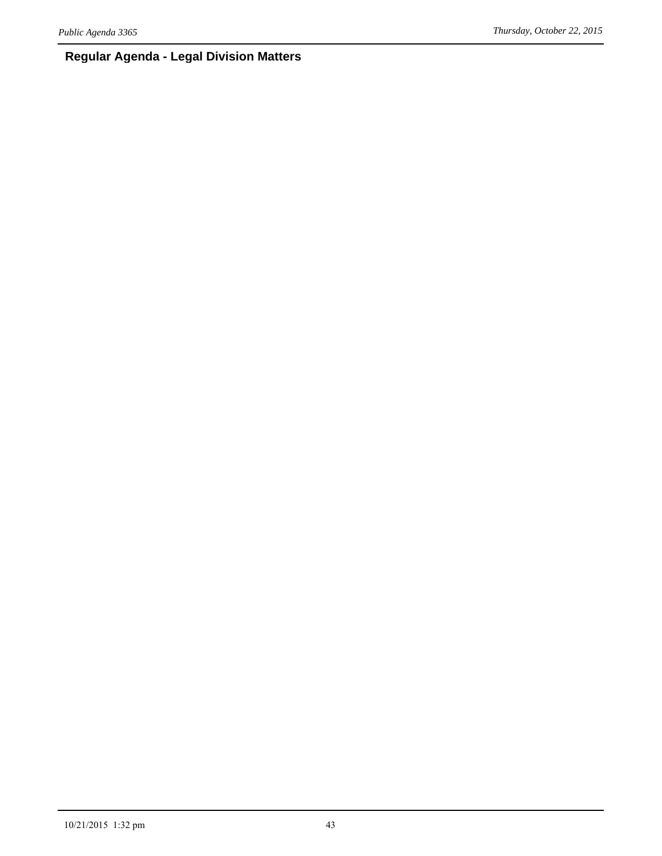### **Regular Agenda - Legal Division Matters**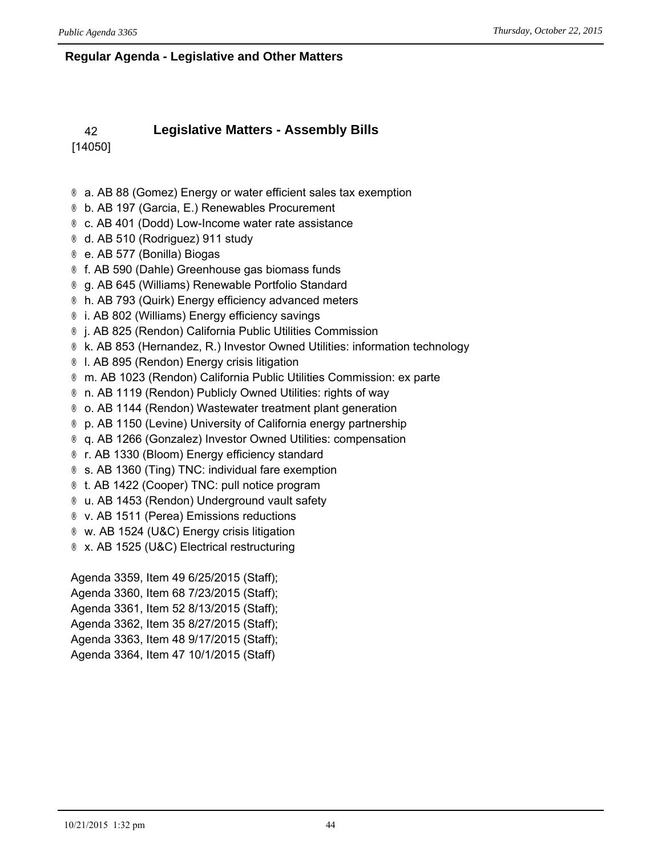#### **Regular Agenda - Legislative and Other Matters**

#### 42 **Legislative Matters - Assembly Bills** [14050]

® a. AB 88 (Gomez) Energy or water efficient sales tax exemption

- ® b. AB 197 (Garcia, E.) Renewables Procurement
- ® c. AB 401 (Dodd) Low-Income water rate assistance
- ® d. AB 510 (Rodriguez) 911 study
- ® e. AB 577 (Bonilla) Biogas
- ® f. AB 590 (Dahle) Greenhouse gas biomass funds
- ® g. AB 645 (Williams) Renewable Portfolio Standard
- ® h. AB 793 (Quirk) Energy efficiency advanced meters
- ® i. AB 802 (Williams) Energy efficiency savings
- ® j. AB 825 (Rendon) California Public Utilities Commission
- ® k. AB 853 (Hernandez, R.) Investor Owned Utilities: information technology
- ® l. AB 895 (Rendon) Energy crisis litigation
- ® m. AB 1023 (Rendon) California Public Utilities Commission: ex parte
- ® n. AB 1119 (Rendon) Publicly Owned Utilities: rights of way
- ® o. AB 1144 (Rendon) Wastewater treatment plant generation
- ® p. AB 1150 (Levine) University of California energy partnership
- ® q. AB 1266 (Gonzalez) Investor Owned Utilities: compensation
- ® r. AB 1330 (Bloom) Energy efficiency standard
- ® s. AB 1360 (Ting) TNC: individual fare exemption
- ® t. AB 1422 (Cooper) TNC: pull notice program
- ® u. AB 1453 (Rendon) Underground vault safety
- ® v. AB 1511 (Perea) Emissions reductions
- ® w. AB 1524 (U&C) Energy crisis litigation
- ® x. AB 1525 (U&C) Electrical restructuring

Agenda 3359, Item 49 6/25/2015 (Staff); Agenda 3360, Item 68 7/23/2015 (Staff); Agenda 3361, Item 52 8/13/2015 (Staff); Agenda 3362, Item 35 8/27/2015 (Staff); Agenda 3363, Item 48 9/17/2015 (Staff); Agenda 3364, Item 47 10/1/2015 (Staff)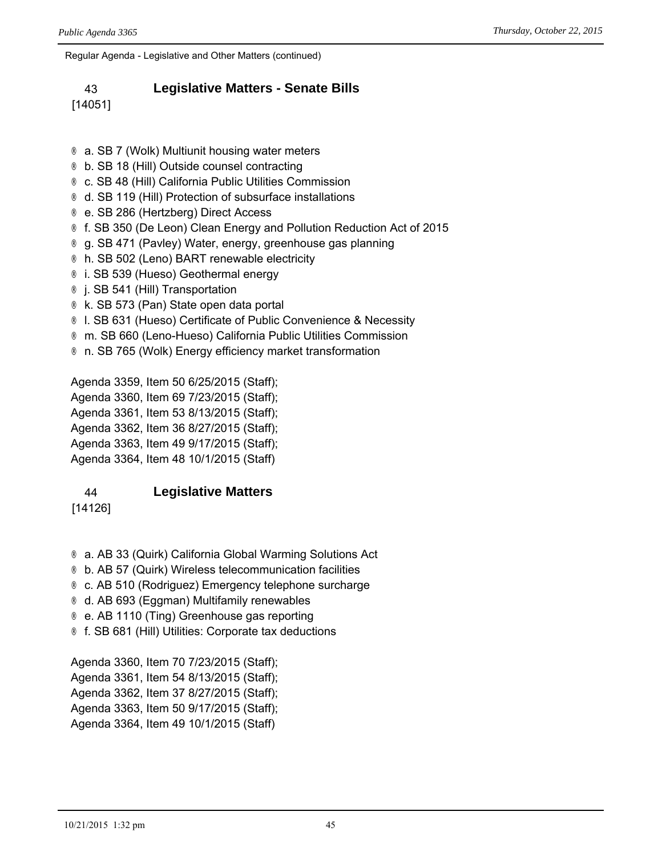Regular Agenda - Legislative and Other Matters (continued)

#### 43 **Legislative Matters - Senate Bills**

[14051]

- ® a. SB 7 (Wolk) Multiunit housing water meters ® b. SB 18 (Hill) Outside counsel contracting ® c. SB 48 (Hill) California Public Utilities Commission ® d. SB 119 (Hill) Protection of subsurface installations ® e. SB 286 (Hertzberg) Direct Access ® f. SB 350 (De Leon) Clean Energy and Pollution Reduction Act of 2015 ® g. SB 471 (Pavley) Water, energy, greenhouse gas planning ® h. SB 502 (Leno) BART renewable electricity
- ® i. SB 539 (Hueso) Geothermal energy
- ® j. SB 541 (Hill) Transportation
- ® k. SB 573 (Pan) State open data portal
- ® l. SB 631 (Hueso) Certificate of Public Convenience & Necessity
- ® m. SB 660 (Leno-Hueso) California Public Utilities Commission
- ® n. SB 765 (Wolk) Energy efficiency market transformation

Agenda 3359, Item 50 6/25/2015 (Staff); Agenda 3360, Item 69 7/23/2015 (Staff); Agenda 3361, Item 53 8/13/2015 (Staff); Agenda 3362, Item 36 8/27/2015 (Staff); Agenda 3363, Item 49 9/17/2015 (Staff); Agenda 3364, Item 48 10/1/2015 (Staff)

#### 44 **Legislative Matters**

[14126]

- ® a. AB 33 (Quirk) California Global Warming Solutions Act
- ® b. AB 57 (Quirk) Wireless telecommunication facilities
- ® c. AB 510 (Rodriguez) Emergency telephone surcharge
- ® d. AB 693 (Eggman) Multifamily renewables
- ® e. AB 1110 (Ting) Greenhouse gas reporting
- ® f. SB 681 (Hill) Utilities: Corporate tax deductions

Agenda 3360, Item 70 7/23/2015 (Staff); Agenda 3361, Item 54 8/13/2015 (Staff); Agenda 3362, Item 37 8/27/2015 (Staff); Agenda 3363, Item 50 9/17/2015 (Staff); Agenda 3364, Item 49 10/1/2015 (Staff)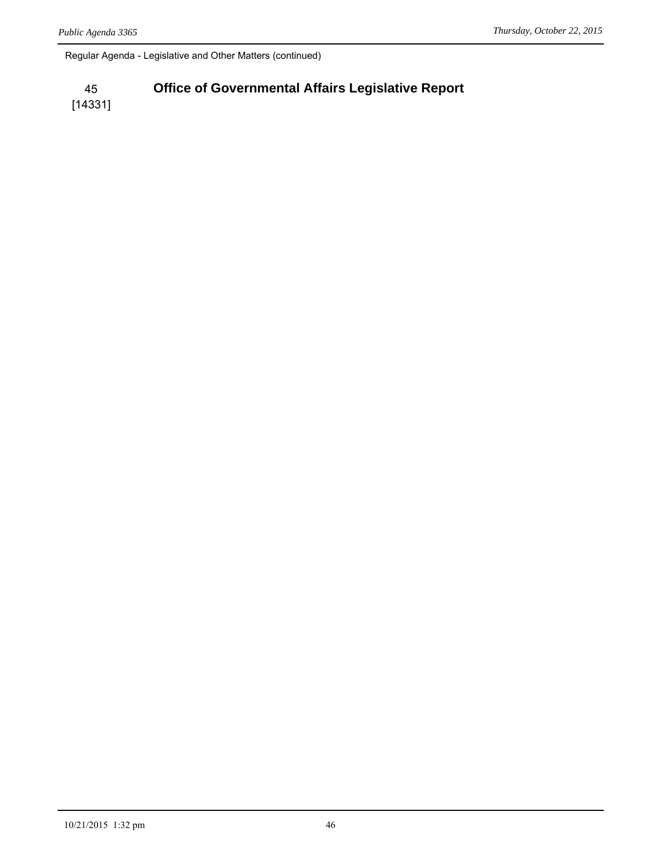Regular Agenda - Legislative and Other Matters (continued)

#### 45 **Office of Governmental Affairs Legislative Report**

[14331]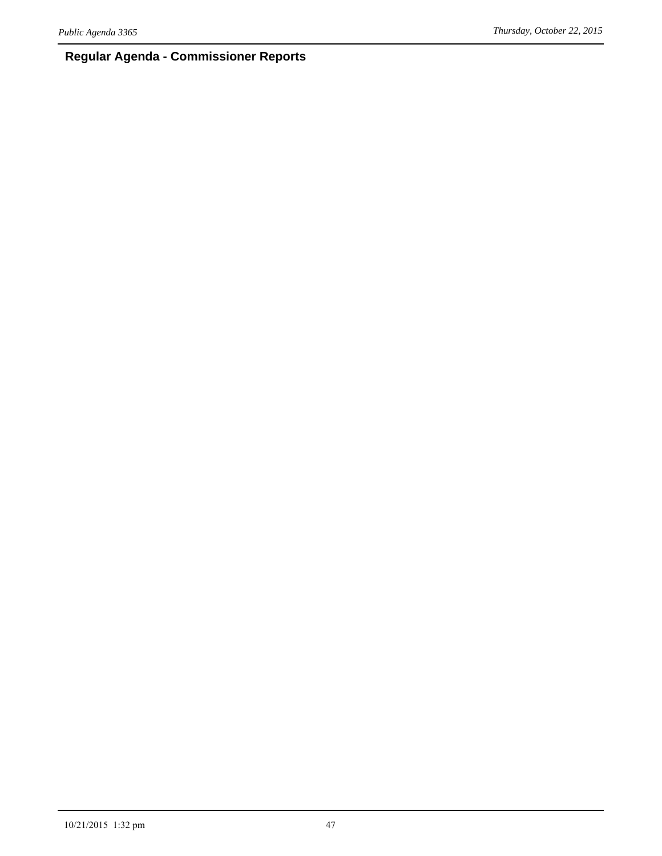## **Regular Agenda - Commissioner Reports**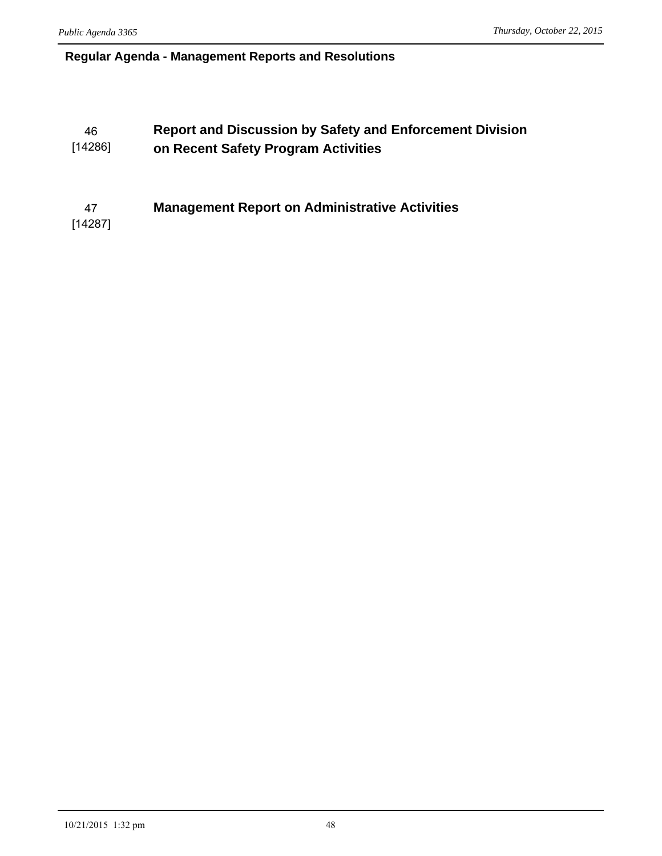#### **Regular Agenda - Management Reports and Resolutions**

#### 46 **Report and Discussion by Safety and Enforcement Division**  [14286] **on Recent Safety Program Activities**

47 **Management Report on Administrative Activities**

[14287]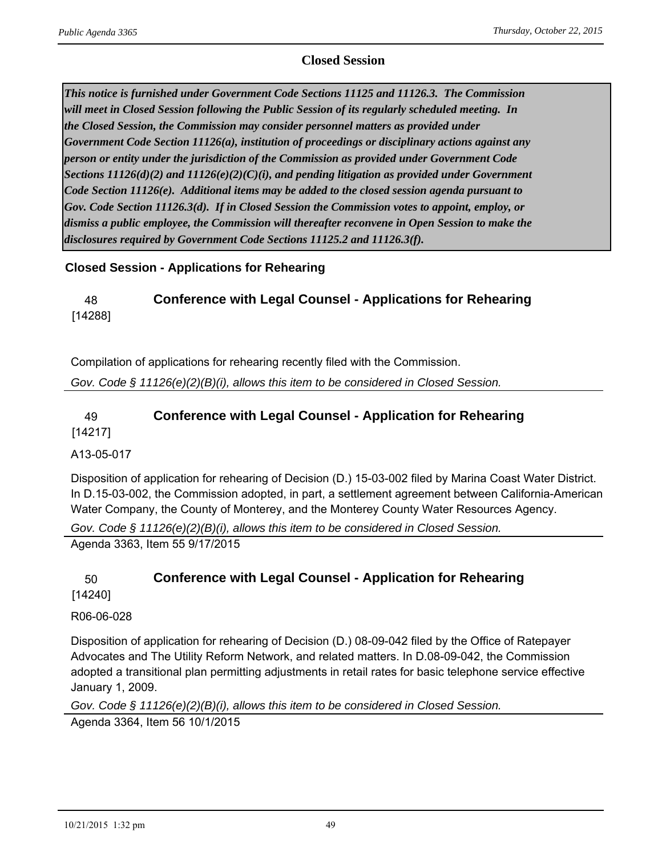#### **Closed Session**

*This notice is furnished under Government Code Sections 11125 and 11126.3. The Commission will meet in Closed Session following the Public Session of its regularly scheduled meeting. In the Closed Session, the Commission may consider personnel matters as provided under Government Code Section 11126(a), institution of proceedings or disciplinary actions against any person or entity under the jurisdiction of the Commission as provided under Government Code Sections 11126(d)(2) and 11126(e)(2)(C)(i), and pending litigation as provided under Government Code Section 11126(e). Additional items may be added to the closed session agenda pursuant to Gov. Code Section 11126.3(d). If in Closed Session the Commission votes to appoint, employ, or dismiss a public employee, the Commission will thereafter reconvene in Open Session to make the disclosures required by Government Code Sections 11125.2 and 11126.3(f).*

#### **Closed Session - Applications for Rehearing**

## 48 **Conference with Legal Counsel - Applications for Rehearing** [14288]

Compilation of applications for rehearing recently filed with the Commission.

*Gov. Code § 11126(e)(2)(B)(i), allows this item to be considered in Closed Session.*

#### 49 **Conference with Legal Counsel - Application for Rehearing** [14217]

A13-05-017

Disposition of application for rehearing of Decision (D.) 15-03-002 filed by Marina Coast Water District. In D.15-03-002, the Commission adopted, in part, a settlement agreement between California-American Water Company, the County of Monterey, and the Monterey County Water Resources Agency.

*Gov. Code § 11126(e)(2)(B)(i), allows this item to be considered in Closed Session.*

Agenda 3363, Item 55 9/17/2015

# 50 **Conference with Legal Counsel - Application for Rehearing**

[14240]

R06-06-028

Disposition of application for rehearing of Decision (D.) 08-09-042 filed by the Office of Ratepayer Advocates and The Utility Reform Network, and related matters. In D.08-09-042, the Commission adopted a transitional plan permitting adjustments in retail rates for basic telephone service effective January 1, 2009.

*Gov. Code § 11126(e)(2)(B)(i), allows this item to be considered in Closed Session.* Agenda 3364, Item 56 10/1/2015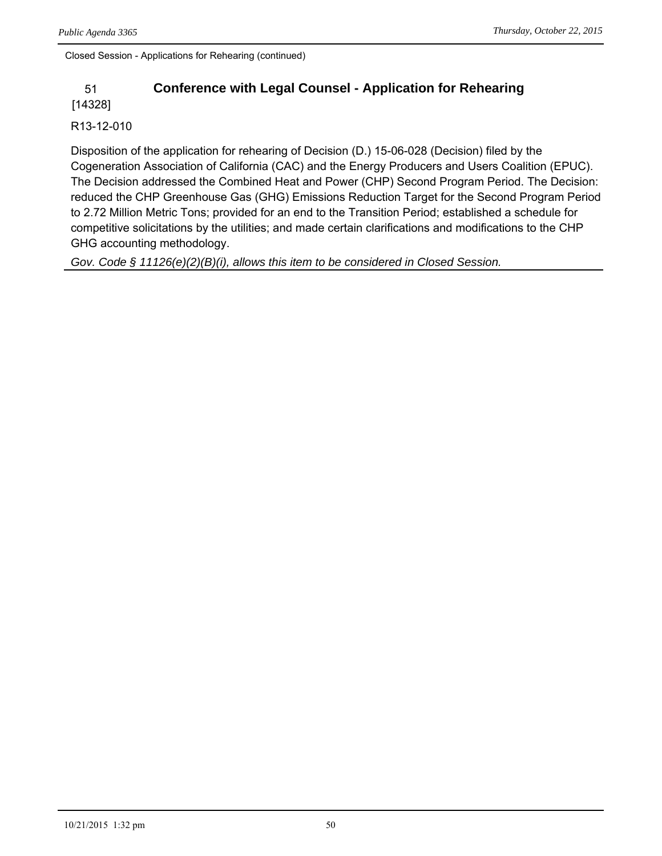Closed Session - Applications for Rehearing (continued)

## 51 **Conference with Legal Counsel - Application for Rehearing**

[14328]

#### R13-12-010

Disposition of the application for rehearing of Decision (D.) 15-06-028 (Decision) filed by the Cogeneration Association of California (CAC) and the Energy Producers and Users Coalition (EPUC). The Decision addressed the Combined Heat and Power (CHP) Second Program Period. The Decision: reduced the CHP Greenhouse Gas (GHG) Emissions Reduction Target for the Second Program Period to 2.72 Million Metric Tons; provided for an end to the Transition Period; established a schedule for competitive solicitations by the utilities; and made certain clarifications and modifications to the CHP GHG accounting methodology.

*Gov. Code § 11126(e)(2)(B)(i), allows this item to be considered in Closed Session.*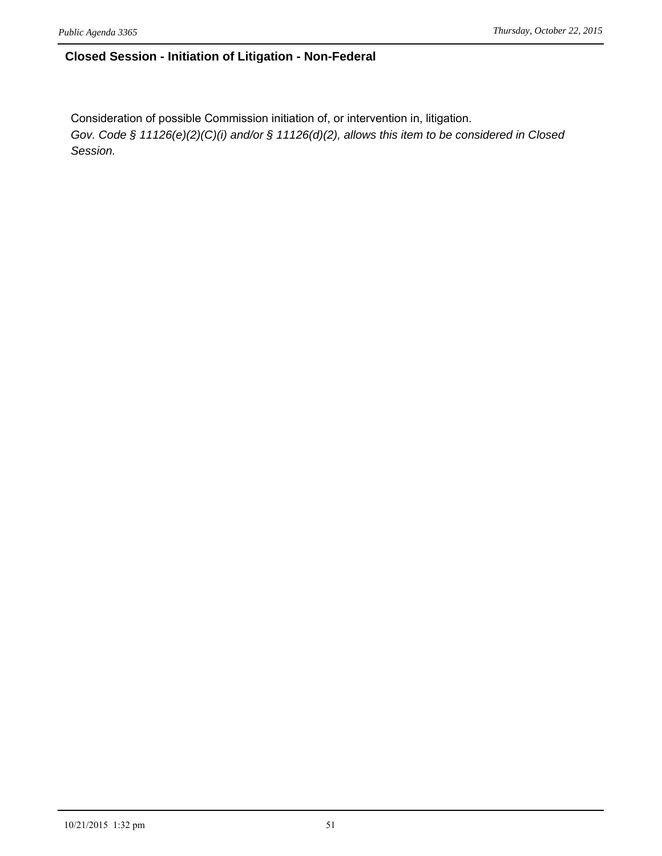#### **Closed Session - Initiation of Litigation - Non-Federal**

Consideration of possible Commission initiation of, or intervention in, litigation. *Gov. Code § 11126(e)(2)(C)(i) and/or § 11126(d)(2), allows this item to be considered in Closed Session.*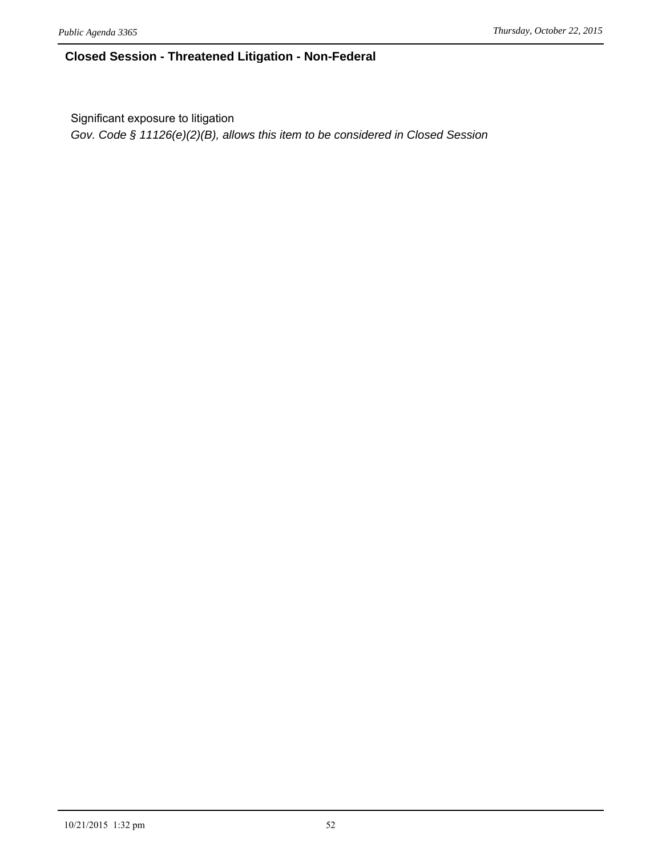#### **Closed Session - Threatened Litigation - Non-Federal**

Significant exposure to litigation

*Gov. Code § 11126(e)(2)(B), allows this item to be considered in Closed Session*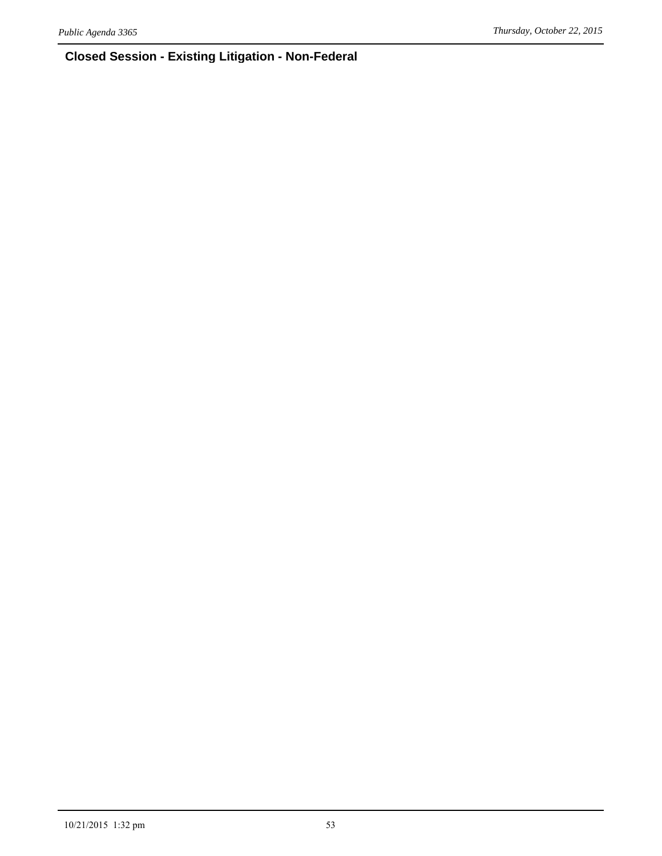## **Closed Session - Existing Litigation - Non-Federal**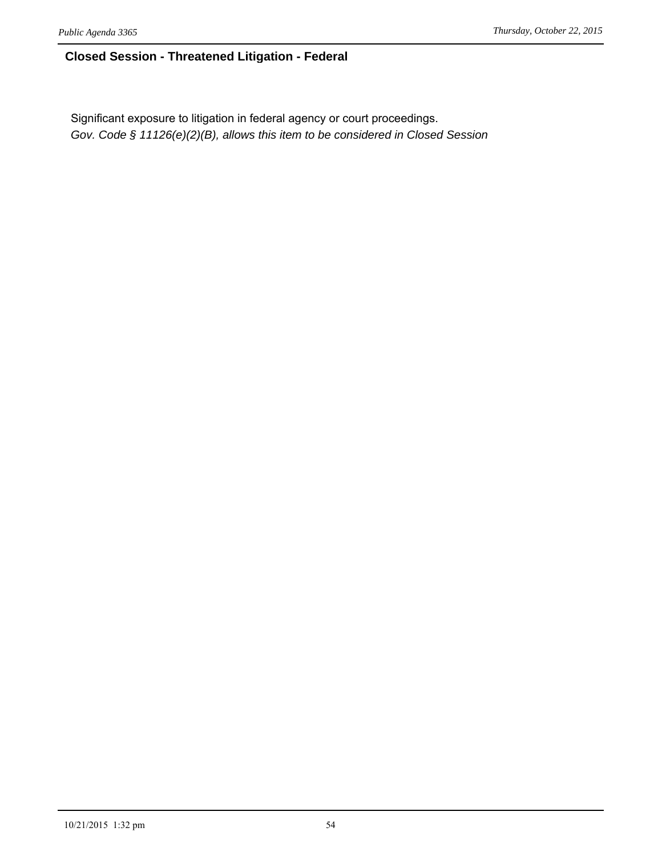#### **Closed Session - Threatened Litigation - Federal**

Significant exposure to litigation in federal agency or court proceedings. *Gov. Code § 11126(e)(2)(B), allows this item to be considered in Closed Session*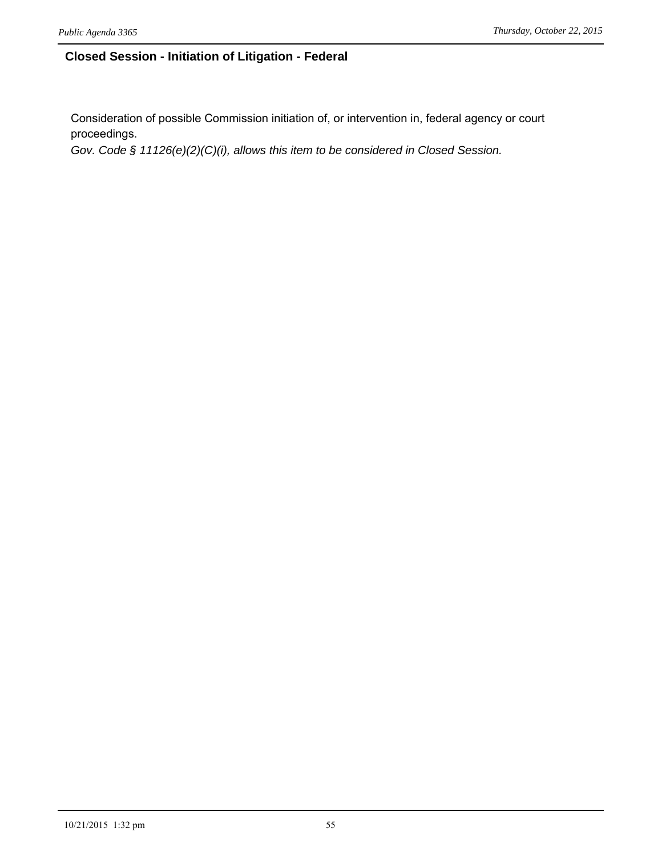#### **Closed Session - Initiation of Litigation - Federal**

Consideration of possible Commission initiation of, or intervention in, federal agency or court proceedings.

*Gov. Code § 11126(e)(2)(C)(i), allows this item to be considered in Closed Session.*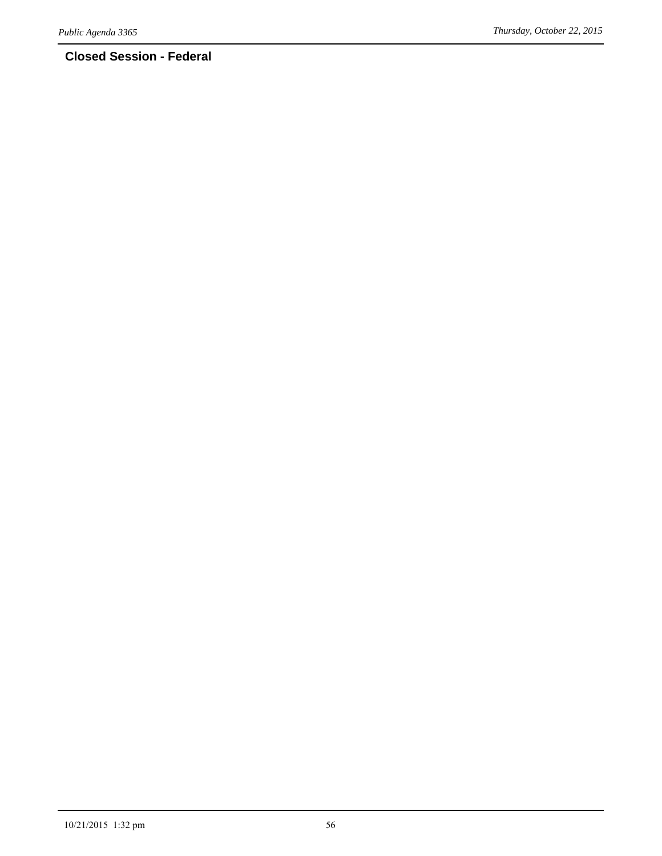## **Closed Session - Federal**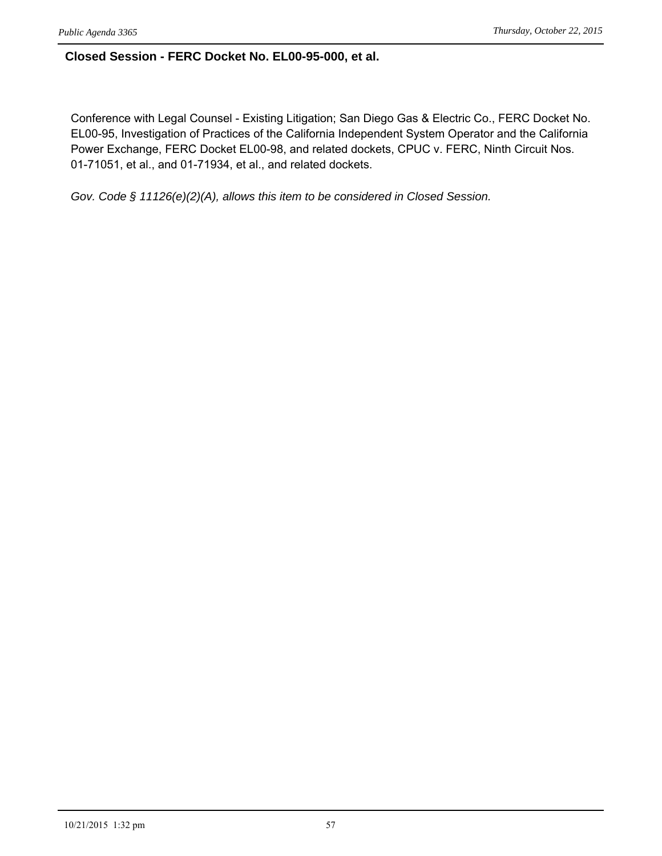#### **Closed Session - FERC Docket No. EL00-95-000, et al.**

Conference with Legal Counsel - Existing Litigation; San Diego Gas & Electric Co., FERC Docket No. EL00-95, Investigation of Practices of the California Independent System Operator and the California Power Exchange, FERC Docket EL00-98, and related dockets, CPUC v. FERC, Ninth Circuit Nos. 01-71051, et al., and 01-71934, et al., and related dockets.

*Gov. Code § 11126(e)(2)(A), allows this item to be considered in Closed Session.*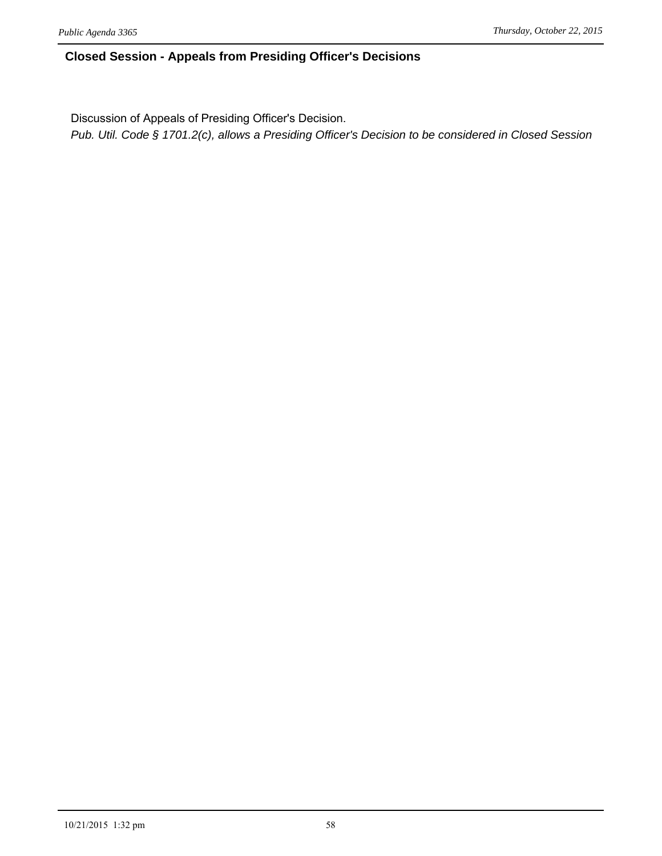#### **Closed Session - Appeals from Presiding Officer's Decisions**

Discussion of Appeals of Presiding Officer's Decision.

*Pub. Util. Code § 1701.2(c), allows a Presiding Officer's Decision to be considered in Closed Session*